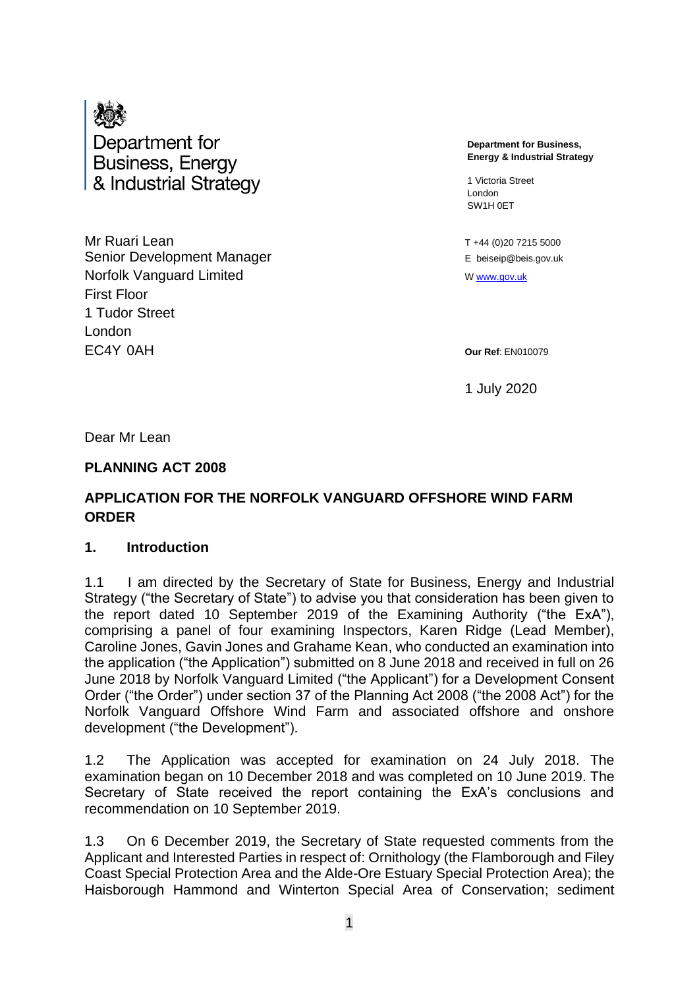

Department for **Business, Energy** & Industrial Strategy

**Mr Ruari Lean** T +44 (0)20 7215 5000 Senior Development Manager **Example 20** E beiseip@beis.gov.uk Norfolk Vanguard Limited <sup>W</sup> [www.gov.uk](http://www.gov.uk/) First Floor 1 Tudor Street London EC4Y 0AH **Our Ref**: EN010079

**Department for Business, Energy & Industrial Strategy**

1 Victoria Street London SW1H 0ET

1 July 2020

Dear Mr Lean

#### **PLANNING ACT 2008**

### **APPLICATION FOR THE NORFOLK VANGUARD OFFSHORE WIND FARM ORDER**

#### **1. Introduction**

1.1 I am directed by the Secretary of State for Business, Energy and Industrial Strategy ("the Secretary of State") to advise you that consideration has been given to the report dated 10 September 2019 of the Examining Authority ("the ExA"), comprising a panel of four examining Inspectors, Karen Ridge (Lead Member), Caroline Jones, Gavin Jones and Grahame Kean, who conducted an examination into the application ("the Application") submitted on 8 June 2018 and received in full on 26 June 2018 by Norfolk Vanguard Limited ("the Applicant") for a Development Consent Order ("the Order") under section 37 of the Planning Act 2008 ("the 2008 Act") for the Norfolk Vanguard Offshore Wind Farm and associated offshore and onshore development ("the Development").

1.2 The Application was accepted for examination on 24 July 2018. The examination began on 10 December 2018 and was completed on 10 June 2019. The Secretary of State received the report containing the ExA's conclusions and recommendation on 10 September 2019.

1.3 On 6 December 2019, the Secretary of State requested comments from the Applicant and Interested Parties in respect of: Ornithology (the Flamborough and Filey Coast Special Protection Area and the Alde-Ore Estuary Special Protection Area); the Haisborough Hammond and Winterton Special Area of Conservation; sediment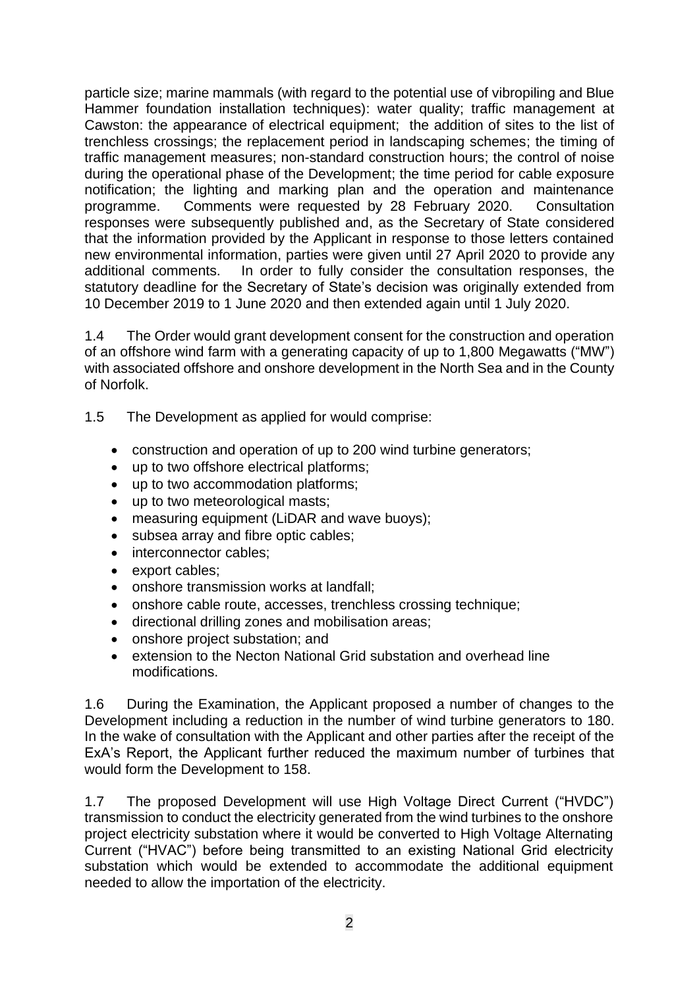particle size; marine mammals (with regard to the potential use of vibropiling and Blue Hammer foundation installation techniques): water quality; traffic management at Cawston: the appearance of electrical equipment; the addition of sites to the list of trenchless crossings; the replacement period in landscaping schemes; the timing of traffic management measures; non-standard construction hours; the control of noise during the operational phase of the Development; the time period for cable exposure notification; the lighting and marking plan and the operation and maintenance programme. Comments were requested by 28 February 2020. Consultation responses were subsequently published and, as the Secretary of State considered that the information provided by the Applicant in response to those letters contained new environmental information, parties were given until 27 April 2020 to provide any additional comments. In order to fully consider the consultation responses, the statutory deadline for the Secretary of State's decision was originally extended from 10 December 2019 to 1 June 2020 and then extended again until 1 July 2020.

1.4 The Order would grant development consent for the construction and operation of an offshore wind farm with a generating capacity of up to 1,800 Megawatts ("MW") with associated offshore and onshore development in the North Sea and in the County of Norfolk.

- 1.5 The Development as applied for would comprise:
	- construction and operation of up to 200 wind turbine generators;
	- up to two offshore electrical platforms;
	- up to two accommodation platforms;
	- up to two meteorological masts;
	- measuring equipment (LiDAR and wave buoys);
	- subsea array and fibre optic cables;
	- interconnector cables;
	- export cables;
	- onshore transmission works at landfall;
	- onshore cable route, accesses, trenchless crossing technique;
	- directional drilling zones and mobilisation areas;
	- onshore project substation; and
	- extension to the Necton National Grid substation and overhead line modifications.

1.6 During the Examination, the Applicant proposed a number of changes to the Development including a reduction in the number of wind turbine generators to 180. In the wake of consultation with the Applicant and other parties after the receipt of the ExA's Report, the Applicant further reduced the maximum number of turbines that would form the Development to 158.

1.7 The proposed Development will use High Voltage Direct Current ("HVDC") transmission to conduct the electricity generated from the wind turbines to the onshore project electricity substation where it would be converted to High Voltage Alternating Current ("HVAC") before being transmitted to an existing National Grid electricity substation which would be extended to accommodate the additional equipment needed to allow the importation of the electricity.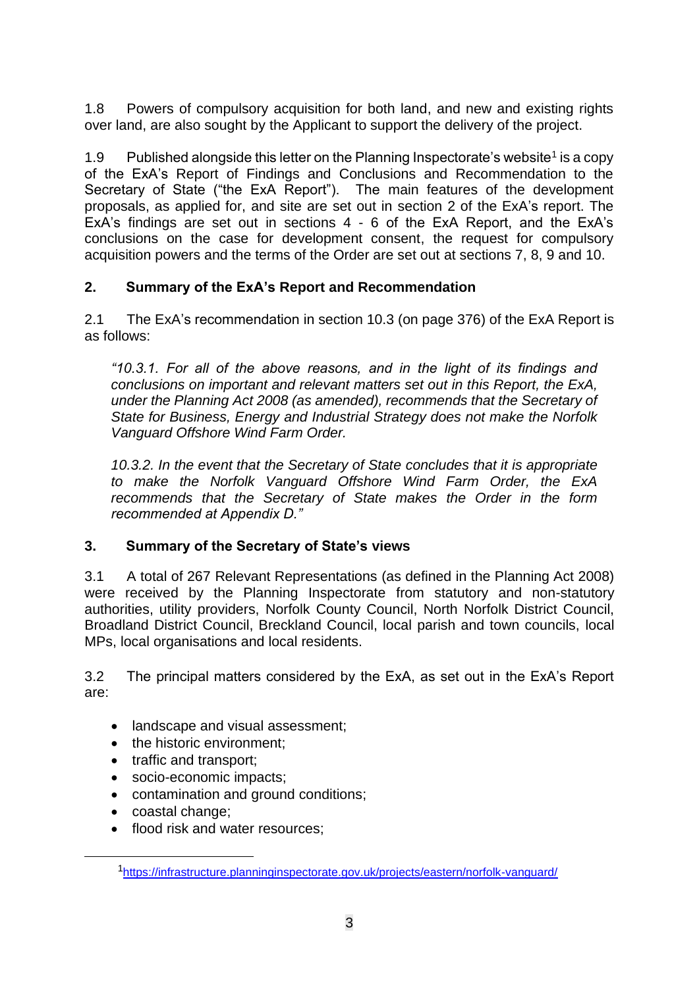1.8 Powers of compulsory acquisition for both land, and new and existing rights over land, are also sought by the Applicant to support the delivery of the project.

1.9 Published alongside this letter on the Planning Inspectorate's website<sup>1</sup> is a copy of the ExA's Report of Findings and Conclusions and Recommendation to the Secretary of State ("the ExA Report"). The main features of the development proposals, as applied for, and site are set out in section 2 of the ExA's report. The ExA's findings are set out in sections 4 - 6 of the ExA Report, and the ExA's conclusions on the case for development consent, the request for compulsory acquisition powers and the terms of the Order are set out at sections 7, 8, 9 and 10.

## **2. Summary of the ExA's Report and Recommendation**

2.1 The ExA's recommendation in section 10.3 (on page 376) of the ExA Report is as follows:

*"10.3.1. For all of the above reasons, and in the light of its findings and conclusions on important and relevant matters set out in this Report, the ExA, under the Planning Act 2008 (as amended), recommends that the Secretary of State for Business, Energy and Industrial Strategy does not make the Norfolk Vanguard Offshore Wind Farm Order.*

*10.3.2. In the event that the Secretary of State concludes that it is appropriate to make the Norfolk Vanguard Offshore Wind Farm Order, the ExA recommends that the Secretary of State makes the Order in the form recommended at Appendix D."*

## **3. Summary of the Secretary of State's views**

3.1 A total of 267 Relevant Representations (as defined in the Planning Act 2008) were received by the Planning Inspectorate from statutory and non-statutory authorities, utility providers, Norfolk County Council, North Norfolk District Council, Broadland District Council, Breckland Council, local parish and town councils, local MPs, local organisations and local residents.

3.2 The principal matters considered by the ExA, as set out in the ExA's Report are:

- landscape and visual assessment:
- the historic environment;
- traffic and transport;
- socio-economic impacts;
- contamination and ground conditions;
- coastal change;
- flood risk and water resources:

<sup>1</sup><https://infrastructure.planninginspectorate.gov.uk/projects/eastern/norfolk-vanguard/>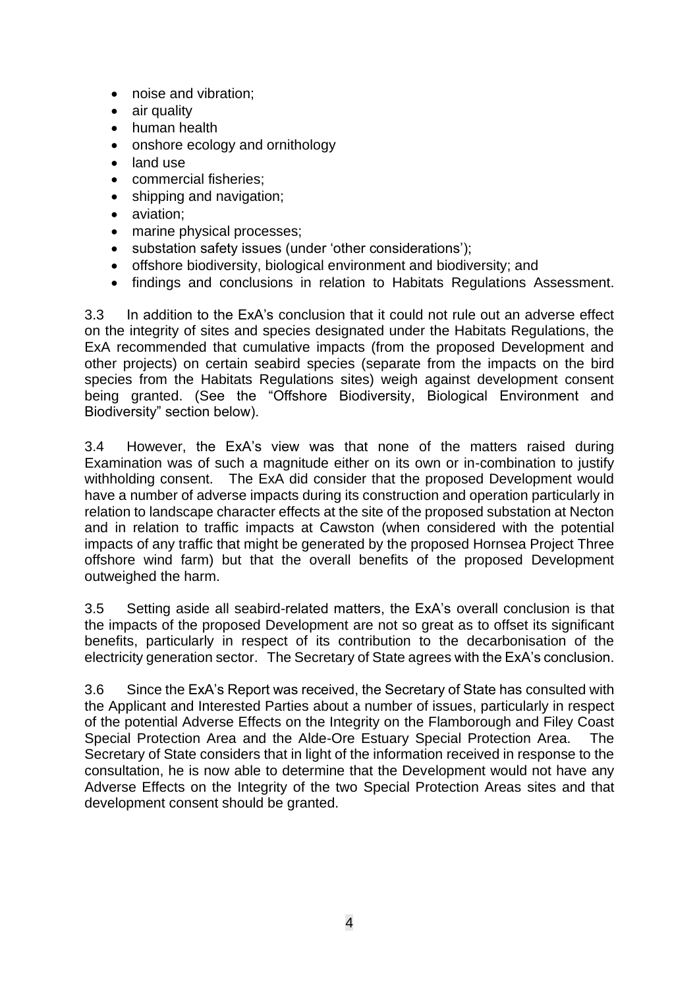- noise and vibration;
- air quality
- human health
- onshore ecology and ornithology
- land use
- commercial fisheries;
- shipping and navigation;
- aviation:
- marine physical processes;
- substation safety issues (under 'other considerations');
- offshore biodiversity, biological environment and biodiversity; and
- findings and conclusions in relation to Habitats Regulations Assessment.

3.3 In addition to the ExA's conclusion that it could not rule out an adverse effect on the integrity of sites and species designated under the Habitats Regulations, the ExA recommended that cumulative impacts (from the proposed Development and other projects) on certain seabird species (separate from the impacts on the bird species from the Habitats Regulations sites) weigh against development consent being granted. (See the "Offshore Biodiversity, Biological Environment and Biodiversity" section below).

3.4 However, the ExA's view was that none of the matters raised during Examination was of such a magnitude either on its own or in-combination to justify withholding consent. The ExA did consider that the proposed Development would have a number of adverse impacts during its construction and operation particularly in relation to landscape character effects at the site of the proposed substation at Necton and in relation to traffic impacts at Cawston (when considered with the potential impacts of any traffic that might be generated by the proposed Hornsea Project Three offshore wind farm) but that the overall benefits of the proposed Development outweighed the harm.

3.5 Setting aside all seabird-related matters, the ExA's overall conclusion is that the impacts of the proposed Development are not so great as to offset its significant benefits, particularly in respect of its contribution to the decarbonisation of the electricity generation sector. The Secretary of State agrees with the ExA's conclusion.

3.6 Since the ExA's Report was received, the Secretary of State has consulted with the Applicant and Interested Parties about a number of issues, particularly in respect of the potential Adverse Effects on the Integrity on the Flamborough and Filey Coast Special Protection Area and the Alde-Ore Estuary Special Protection Area. The Secretary of State considers that in light of the information received in response to the consultation, he is now able to determine that the Development would not have any Adverse Effects on the Integrity of the two Special Protection Areas sites and that development consent should be granted.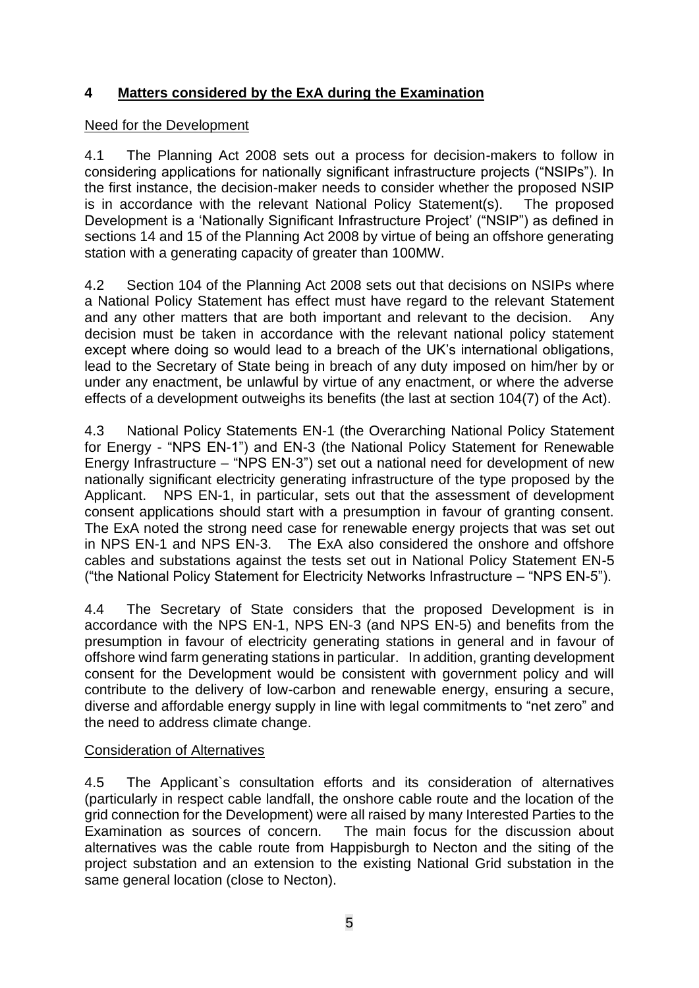## **4 Matters considered by the ExA during the Examination**

### Need for the Development

4.1 The Planning Act 2008 sets out a process for decision-makers to follow in considering applications for nationally significant infrastructure projects ("NSIPs"). In the first instance, the decision-maker needs to consider whether the proposed NSIP is in accordance with the relevant National Policy Statement(s). The proposed Development is a 'Nationally Significant Infrastructure Project' ("NSIP") as defined in sections 14 and 15 of the Planning Act 2008 by virtue of being an offshore generating station with a generating capacity of greater than 100MW.

4.2 Section 104 of the Planning Act 2008 sets out that decisions on NSIPs where a National Policy Statement has effect must have regard to the relevant Statement and any other matters that are both important and relevant to the decision. Any decision must be taken in accordance with the relevant national policy statement except where doing so would lead to a breach of the UK's international obligations, lead to the Secretary of State being in breach of any duty imposed on him/her by or under any enactment, be unlawful by virtue of any enactment, or where the adverse effects of a development outweighs its benefits (the last at section 104(7) of the Act).

4.3 National Policy Statements EN-1 (the Overarching National Policy Statement for Energy - "NPS EN-1") and EN-3 (the National Policy Statement for Renewable Energy Infrastructure – "NPS EN-3") set out a national need for development of new nationally significant electricity generating infrastructure of the type proposed by the Applicant. NPS EN-1, in particular, sets out that the assessment of development consent applications should start with a presumption in favour of granting consent. The ExA noted the strong need case for renewable energy projects that was set out in NPS EN-1 and NPS EN-3. The ExA also considered the onshore and offshore cables and substations against the tests set out in National Policy Statement EN-5 ("the National Policy Statement for Electricity Networks Infrastructure – "NPS EN-5").

4.4 The Secretary of State considers that the proposed Development is in accordance with the NPS EN-1, NPS EN-3 (and NPS EN-5) and benefits from the presumption in favour of electricity generating stations in general and in favour of offshore wind farm generating stations in particular. In addition, granting development consent for the Development would be consistent with government policy and will contribute to the delivery of low-carbon and renewable energy, ensuring a secure, diverse and affordable energy supply in line with legal commitments to "net zero" and the need to address climate change.

## Consideration of Alternatives

4.5 The Applicant`s consultation efforts and its consideration of alternatives (particularly in respect cable landfall, the onshore cable route and the location of the grid connection for the Development) were all raised by many Interested Parties to the Examination as sources of concern. The main focus for the discussion about alternatives was the cable route from Happisburgh to Necton and the siting of the project substation and an extension to the existing National Grid substation in the same general location (close to Necton).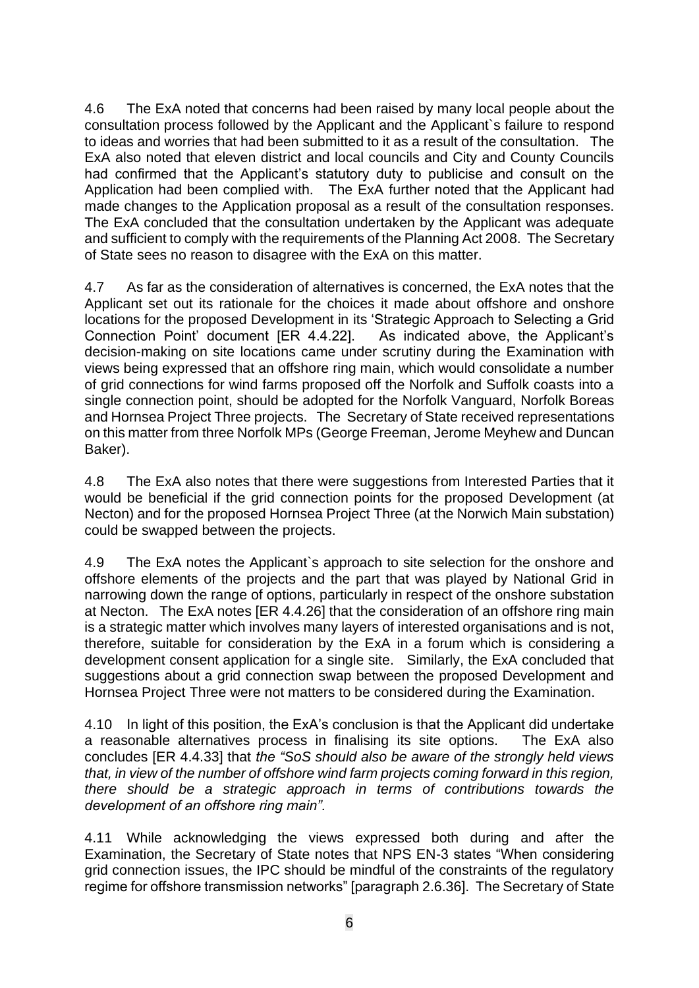4.6 The ExA noted that concerns had been raised by many local people about the consultation process followed by the Applicant and the Applicant`s failure to respond to ideas and worries that had been submitted to it as a result of the consultation. The ExA also noted that eleven district and local councils and City and County Councils had confirmed that the Applicant's statutory duty to publicise and consult on the Application had been complied with. The ExA further noted that the Applicant had made changes to the Application proposal as a result of the consultation responses. The ExA concluded that the consultation undertaken by the Applicant was adequate and sufficient to comply with the requirements of the Planning Act 2008. The Secretary of State sees no reason to disagree with the ExA on this matter.

4.7 As far as the consideration of alternatives is concerned, the ExA notes that the Applicant set out its rationale for the choices it made about offshore and onshore locations for the proposed Development in its 'Strategic Approach to Selecting a Grid Connection Point' document [ER 4.4.22]. As indicated above, the Applicant's decision-making on site locations came under scrutiny during the Examination with views being expressed that an offshore ring main, which would consolidate a number of grid connections for wind farms proposed off the Norfolk and Suffolk coasts into a single connection point, should be adopted for the Norfolk Vanguard, Norfolk Boreas and Hornsea Project Three projects. The Secretary of State received representations on this matter from three Norfolk MPs (George Freeman, Jerome Meyhew and Duncan Baker).

4.8 The ExA also notes that there were suggestions from Interested Parties that it would be beneficial if the grid connection points for the proposed Development (at Necton) and for the proposed Hornsea Project Three (at the Norwich Main substation) could be swapped between the projects.

4.9 The ExA notes the Applicant`s approach to site selection for the onshore and offshore elements of the projects and the part that was played by National Grid in narrowing down the range of options, particularly in respect of the onshore substation at Necton. The ExA notes [ER 4.4.26] that the consideration of an offshore ring main is a strategic matter which involves many layers of interested organisations and is not, therefore, suitable for consideration by the ExA in a forum which is considering a development consent application for a single site. Similarly, the ExA concluded that suggestions about a grid connection swap between the proposed Development and Hornsea Project Three were not matters to be considered during the Examination.

4.10 In light of this position, the ExA's conclusion is that the Applicant did undertake a reasonable alternatives process in finalising its site options. The ExA also concludes [ER 4.4.33] that *the "SoS should also be aware of the strongly held views that, in view of the number of offshore wind farm projects coming forward in this region, there should be a strategic approach in terms of contributions towards the development of an offshore ring main".*

4.11 While acknowledging the views expressed both during and after the Examination, the Secretary of State notes that NPS EN-3 states "When considering grid connection issues, the IPC should be mindful of the constraints of the regulatory regime for offshore transmission networks" [paragraph 2.6.36]. The Secretary of State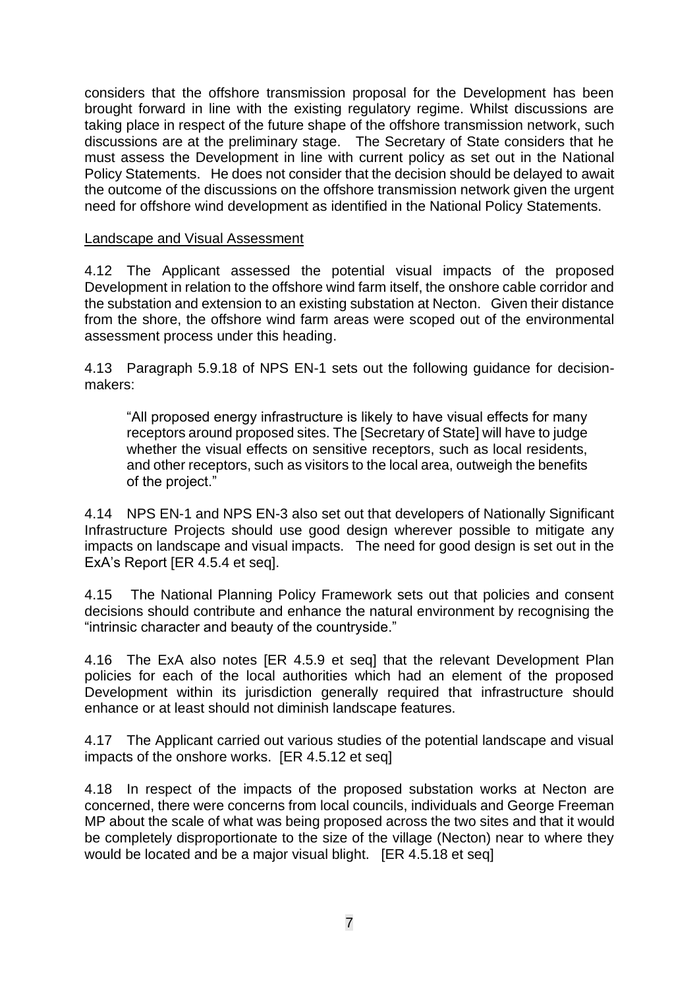considers that the offshore transmission proposal for the Development has been brought forward in line with the existing regulatory regime. Whilst discussions are taking place in respect of the future shape of the offshore transmission network, such discussions are at the preliminary stage. The Secretary of State considers that he must assess the Development in line with current policy as set out in the National Policy Statements. He does not consider that the decision should be delayed to await the outcome of the discussions on the offshore transmission network given the urgent need for offshore wind development as identified in the National Policy Statements.

#### Landscape and Visual Assessment

4.12 The Applicant assessed the potential visual impacts of the proposed Development in relation to the offshore wind farm itself, the onshore cable corridor and the substation and extension to an existing substation at Necton. Given their distance from the shore, the offshore wind farm areas were scoped out of the environmental assessment process under this heading.

4.13 Paragraph 5.9.18 of NPS EN-1 sets out the following guidance for decisionmakers:

"All proposed energy infrastructure is likely to have visual effects for many receptors around proposed sites. The [Secretary of State] will have to judge whether the visual effects on sensitive receptors, such as local residents, and other receptors, such as visitors to the local area, outweigh the benefits of the project."

4.14 NPS EN-1 and NPS EN-3 also set out that developers of Nationally Significant Infrastructure Projects should use good design wherever possible to mitigate any impacts on landscape and visual impacts. The need for good design is set out in the ExA's Report [ER 4.5.4 et seq].

4.15 The National Planning Policy Framework sets out that policies and consent decisions should contribute and enhance the natural environment by recognising the "intrinsic character and beauty of the countryside."

4.16 The ExA also notes [ER 4.5.9 et seq] that the relevant Development Plan policies for each of the local authorities which had an element of the proposed Development within its jurisdiction generally required that infrastructure should enhance or at least should not diminish landscape features.

4.17 The Applicant carried out various studies of the potential landscape and visual impacts of the onshore works. [ER 4.5.12 et seq]

4.18 In respect of the impacts of the proposed substation works at Necton are concerned, there were concerns from local councils, individuals and George Freeman MP about the scale of what was being proposed across the two sites and that it would be completely disproportionate to the size of the village (Necton) near to where they would be located and be a major visual blight. [ER 4.5.18 et seq]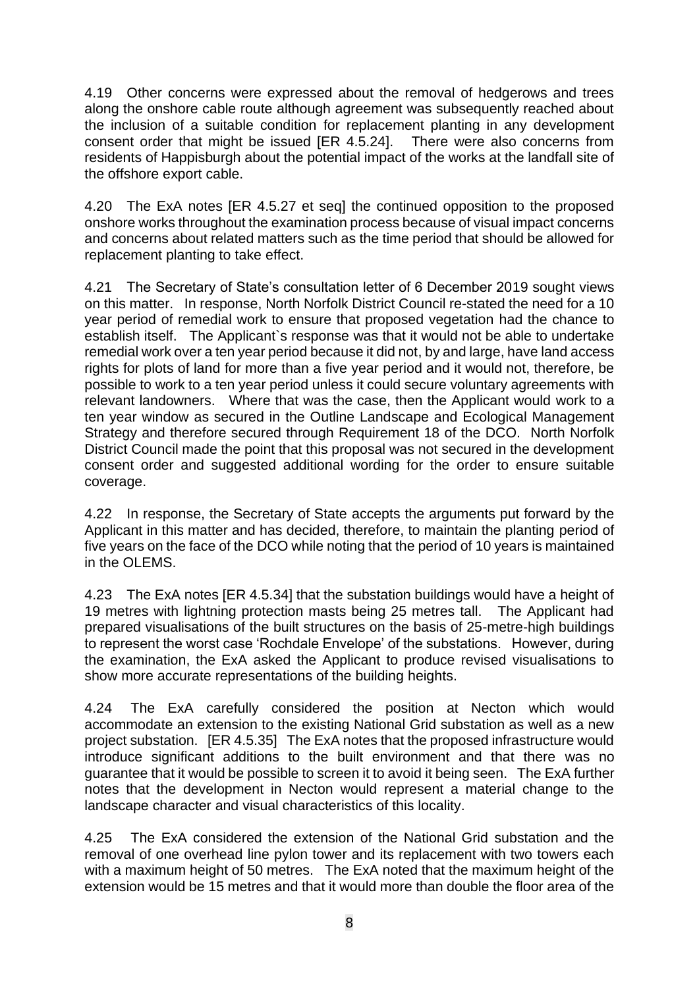4.19 Other concerns were expressed about the removal of hedgerows and trees along the onshore cable route although agreement was subsequently reached about the inclusion of a suitable condition for replacement planting in any development consent order that might be issued [ER 4.5.24]. There were also concerns from residents of Happisburgh about the potential impact of the works at the landfall site of the offshore export cable.

4.20 The ExA notes [ER 4.5.27 et seq] the continued opposition to the proposed onshore works throughout the examination process because of visual impact concerns and concerns about related matters such as the time period that should be allowed for replacement planting to take effect.

4.21 The Secretary of State's consultation letter of 6 December 2019 sought views on this matter. In response, North Norfolk District Council re-stated the need for a 10 year period of remedial work to ensure that proposed vegetation had the chance to establish itself. The Applicant`s response was that it would not be able to undertake remedial work over a ten year period because it did not, by and large, have land access rights for plots of land for more than a five year period and it would not, therefore, be possible to work to a ten year period unless it could secure voluntary agreements with relevant landowners. Where that was the case, then the Applicant would work to a ten year window as secured in the Outline Landscape and Ecological Management Strategy and therefore secured through Requirement 18 of the DCO. North Norfolk District Council made the point that this proposal was not secured in the development consent order and suggested additional wording for the order to ensure suitable coverage.

4.22 In response, the Secretary of State accepts the arguments put forward by the Applicant in this matter and has decided, therefore, to maintain the planting period of five years on the face of the DCO while noting that the period of 10 years is maintained in the OLEMS.

4.23 The ExA notes [ER 4.5.34] that the substation buildings would have a height of 19 metres with lightning protection masts being 25 metres tall. The Applicant had prepared visualisations of the built structures on the basis of 25-metre-high buildings to represent the worst case 'Rochdale Envelope' of the substations. However, during the examination, the ExA asked the Applicant to produce revised visualisations to show more accurate representations of the building heights.

4.24 The ExA carefully considered the position at Necton which would accommodate an extension to the existing National Grid substation as well as a new project substation. [ER 4.5.35] The ExA notes that the proposed infrastructure would introduce significant additions to the built environment and that there was no guarantee that it would be possible to screen it to avoid it being seen. The ExA further notes that the development in Necton would represent a material change to the landscape character and visual characteristics of this locality.

4.25 The ExA considered the extension of the National Grid substation and the removal of one overhead line pylon tower and its replacement with two towers each with a maximum height of 50 metres. The ExA noted that the maximum height of the extension would be 15 metres and that it would more than double the floor area of the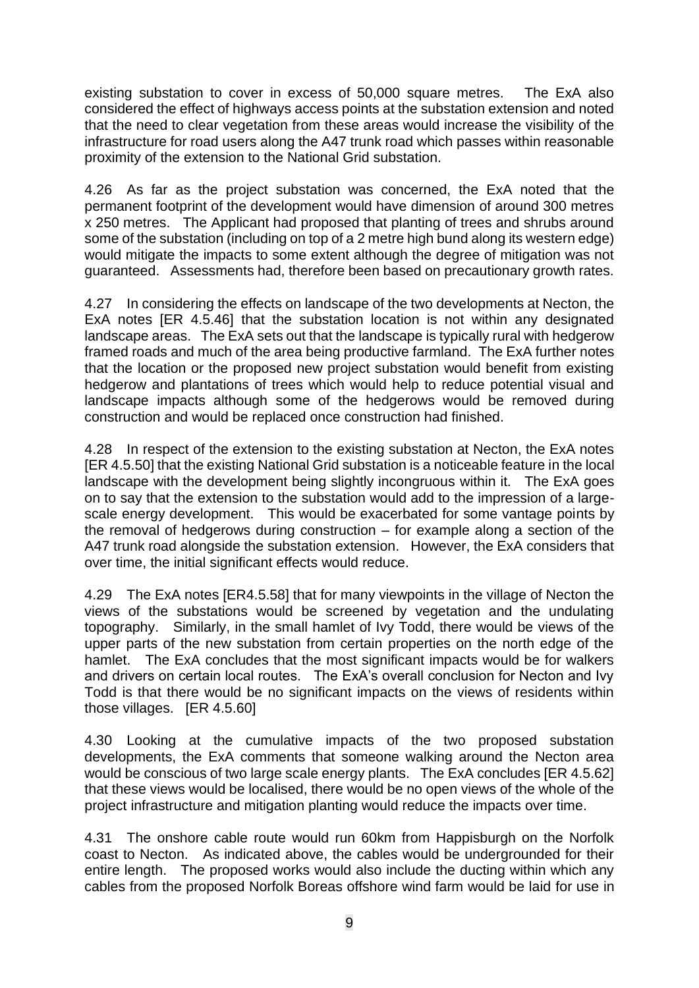existing substation to cover in excess of 50,000 square metres. The ExA also considered the effect of highways access points at the substation extension and noted that the need to clear vegetation from these areas would increase the visibility of the infrastructure for road users along the A47 trunk road which passes within reasonable proximity of the extension to the National Grid substation.

4.26 As far as the project substation was concerned, the ExA noted that the permanent footprint of the development would have dimension of around 300 metres x 250 metres. The Applicant had proposed that planting of trees and shrubs around some of the substation (including on top of a 2 metre high bund along its western edge) would mitigate the impacts to some extent although the degree of mitigation was not guaranteed. Assessments had, therefore been based on precautionary growth rates.

4.27 In considering the effects on landscape of the two developments at Necton, the ExA notes [ER 4.5.46] that the substation location is not within any designated landscape areas. The ExA sets out that the landscape is typically rural with hedgerow framed roads and much of the area being productive farmland. The ExA further notes that the location or the proposed new project substation would benefit from existing hedgerow and plantations of trees which would help to reduce potential visual and landscape impacts although some of the hedgerows would be removed during construction and would be replaced once construction had finished.

4.28 In respect of the extension to the existing substation at Necton, the ExA notes [ER 4.5.50] that the existing National Grid substation is a noticeable feature in the local landscape with the development being slightly incongruous within it. The ExA goes on to say that the extension to the substation would add to the impression of a largescale energy development. This would be exacerbated for some vantage points by the removal of hedgerows during construction  $-$  for example along a section of the A47 trunk road alongside the substation extension. However, the ExA considers that over time, the initial significant effects would reduce.

4.29 The ExA notes [ER4.5.58] that for many viewpoints in the village of Necton the views of the substations would be screened by vegetation and the undulating topography. Similarly, in the small hamlet of Ivy Todd, there would be views of the upper parts of the new substation from certain properties on the north edge of the hamlet. The ExA concludes that the most significant impacts would be for walkers and drivers on certain local routes. The ExA's overall conclusion for Necton and Ivy Todd is that there would be no significant impacts on the views of residents within those villages. [ER 4.5.60]

4.30 Looking at the cumulative impacts of the two proposed substation developments, the ExA comments that someone walking around the Necton area would be conscious of two large scale energy plants. The ExA concludes [ER 4.5.62] that these views would be localised, there would be no open views of the whole of the project infrastructure and mitigation planting would reduce the impacts over time.

4.31 The onshore cable route would run 60km from Happisburgh on the Norfolk coast to Necton. As indicated above, the cables would be undergrounded for their entire length. The proposed works would also include the ducting within which any cables from the proposed Norfolk Boreas offshore wind farm would be laid for use in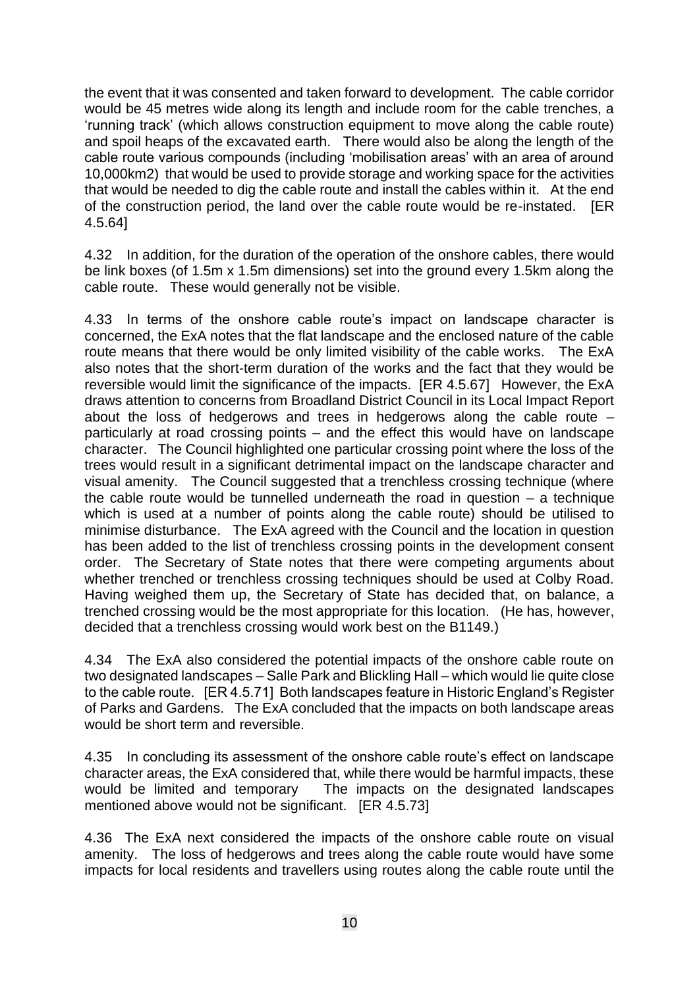the event that it was consented and taken forward to development. The cable corridor would be 45 metres wide along its length and include room for the cable trenches, a 'running track' (which allows construction equipment to move along the cable route) and spoil heaps of the excavated earth. There would also be along the length of the cable route various compounds (including 'mobilisation areas' with an area of around 10,000km2) that would be used to provide storage and working space for the activities that would be needed to dig the cable route and install the cables within it. At the end of the construction period, the land over the cable route would be re-instated. [ER 4.5.64]

4.32 In addition, for the duration of the operation of the onshore cables, there would be link boxes (of 1.5m x 1.5m dimensions) set into the ground every 1.5km along the cable route. These would generally not be visible.

4.33 In terms of the onshore cable route's impact on landscape character is concerned, the ExA notes that the flat landscape and the enclosed nature of the cable route means that there would be only limited visibility of the cable works. The ExA also notes that the short-term duration of the works and the fact that they would be reversible would limit the significance of the impacts. **IER 4.5.671** However, the ExA draws attention to concerns from Broadland District Council in its Local Impact Report about the loss of hedgerows and trees in hedgerows along the cable route – particularly at road crossing points – and the effect this would have on landscape character. The Council highlighted one particular crossing point where the loss of the trees would result in a significant detrimental impact on the landscape character and visual amenity. The Council suggested that a trenchless crossing technique (where the cable route would be tunnelled underneath the road in question – a technique which is used at a number of points along the cable route) should be utilised to minimise disturbance. The ExA agreed with the Council and the location in question has been added to the list of trenchless crossing points in the development consent order. The Secretary of State notes that there were competing arguments about whether trenched or trenchless crossing techniques should be used at Colby Road. Having weighed them up, the Secretary of State has decided that, on balance, a trenched crossing would be the most appropriate for this location. (He has, however, decided that a trenchless crossing would work best on the B1149.)

4.34 The ExA also considered the potential impacts of the onshore cable route on two designated landscapes – Salle Park and Blickling Hall – which would lie quite close to the cable route. [ER 4.5.71] Both landscapes feature in Historic England's Register of Parks and Gardens. The ExA concluded that the impacts on both landscape areas would be short term and reversible.

4.35 In concluding its assessment of the onshore cable route's effect on landscape character areas, the ExA considered that, while there would be harmful impacts, these would be limited and temporary The impacts on the designated landscapes mentioned above would not be significant. [ER 4.5.73]

4.36 The ExA next considered the impacts of the onshore cable route on visual amenity. The loss of hedgerows and trees along the cable route would have some impacts for local residents and travellers using routes along the cable route until the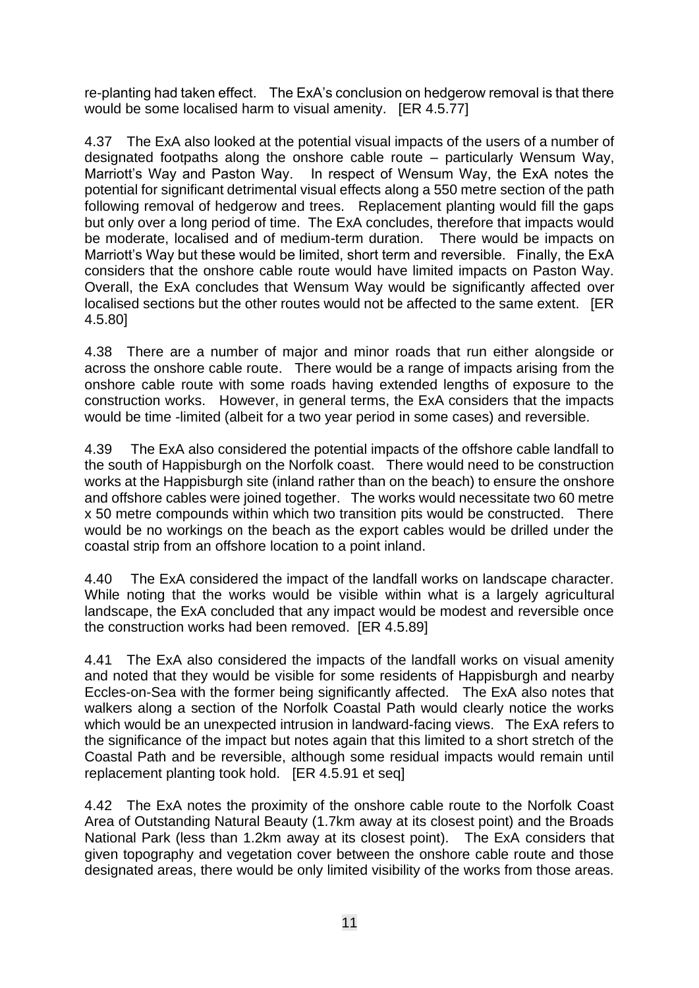re-planting had taken effect. The ExA's conclusion on hedgerow removal is that there would be some localised harm to visual amenity. [ER 4.5.77]

4.37 The ExA also looked at the potential visual impacts of the users of a number of designated footpaths along the onshore cable route – particularly Wensum Way, Marriott's Way and Paston Way. In respect of Wensum Way, the ExA notes the potential for significant detrimental visual effects along a 550 metre section of the path following removal of hedgerow and trees. Replacement planting would fill the gaps but only over a long period of time. The ExA concludes, therefore that impacts would be moderate, localised and of medium-term duration. There would be impacts on Marriott's Way but these would be limited, short term and reversible. Finally, the ExA considers that the onshore cable route would have limited impacts on Paston Way. Overall, the ExA concludes that Wensum Way would be significantly affected over localised sections but the other routes would not be affected to the same extent. [ER 4.5.80]

4.38 There are a number of major and minor roads that run either alongside or across the onshore cable route. There would be a range of impacts arising from the onshore cable route with some roads having extended lengths of exposure to the construction works. However, in general terms, the ExA considers that the impacts would be time -limited (albeit for a two year period in some cases) and reversible.

4.39 The ExA also considered the potential impacts of the offshore cable landfall to the south of Happisburgh on the Norfolk coast. There would need to be construction works at the Happisburgh site (inland rather than on the beach) to ensure the onshore and offshore cables were joined together. The works would necessitate two 60 metre x 50 metre compounds within which two transition pits would be constructed. There would be no workings on the beach as the export cables would be drilled under the coastal strip from an offshore location to a point inland.

4.40 The ExA considered the impact of the landfall works on landscape character. While noting that the works would be visible within what is a largely agricultural landscape, the ExA concluded that any impact would be modest and reversible once the construction works had been removed. [ER 4.5.89]

4.41 The ExA also considered the impacts of the landfall works on visual amenity and noted that they would be visible for some residents of Happisburgh and nearby Eccles-on-Sea with the former being significantly affected. The ExA also notes that walkers along a section of the Norfolk Coastal Path would clearly notice the works which would be an unexpected intrusion in landward-facing views. The ExA refers to the significance of the impact but notes again that this limited to a short stretch of the Coastal Path and be reversible, although some residual impacts would remain until replacement planting took hold. [ER 4.5.91 et seq]

4.42 The ExA notes the proximity of the onshore cable route to the Norfolk Coast Area of Outstanding Natural Beauty (1.7km away at its closest point) and the Broads National Park (less than 1.2km away at its closest point). The ExA considers that given topography and vegetation cover between the onshore cable route and those designated areas, there would be only limited visibility of the works from those areas.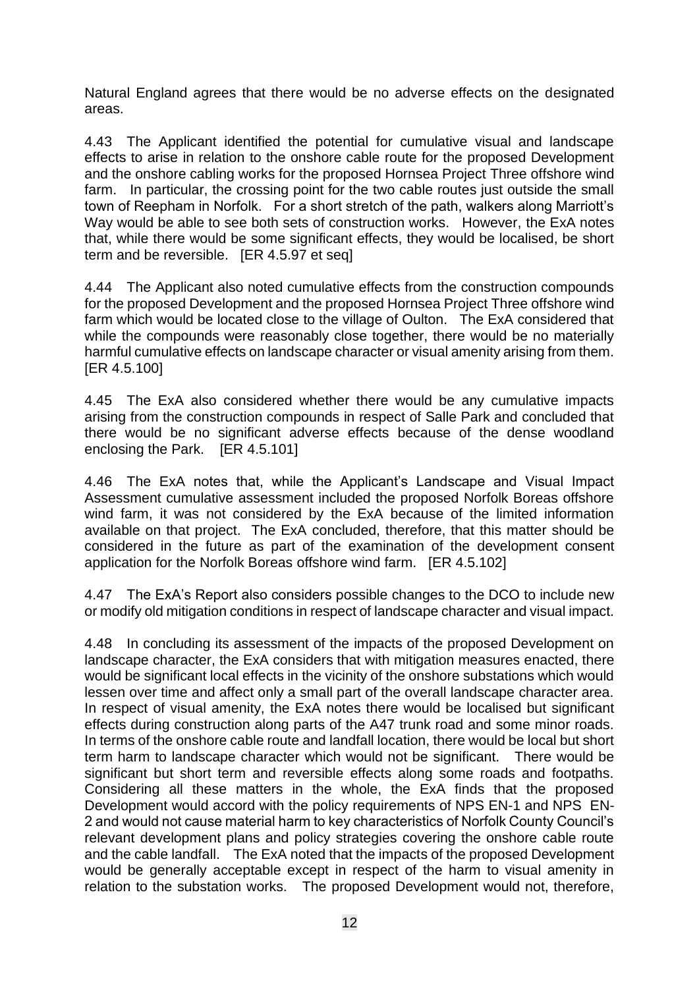Natural England agrees that there would be no adverse effects on the designated areas.

4.43 The Applicant identified the potential for cumulative visual and landscape effects to arise in relation to the onshore cable route for the proposed Development and the onshore cabling works for the proposed Hornsea Project Three offshore wind farm. In particular, the crossing point for the two cable routes just outside the small town of Reepham in Norfolk. For a short stretch of the path, walkers along Marriott's Way would be able to see both sets of construction works. However, the ExA notes that, while there would be some significant effects, they would be localised, be short term and be reversible. [ER 4.5.97 et seq]

4.44 The Applicant also noted cumulative effects from the construction compounds for the proposed Development and the proposed Hornsea Project Three offshore wind farm which would be located close to the village of Oulton. The ExA considered that while the compounds were reasonably close together, there would be no materially harmful cumulative effects on landscape character or visual amenity arising from them. [ER 4.5.100]

4.45 The ExA also considered whether there would be any cumulative impacts arising from the construction compounds in respect of Salle Park and concluded that there would be no significant adverse effects because of the dense woodland enclosing the Park. [ER 4.5.101]

4.46 The ExA notes that, while the Applicant's Landscape and Visual Impact Assessment cumulative assessment included the proposed Norfolk Boreas offshore wind farm, it was not considered by the ExA because of the limited information available on that project. The ExA concluded, therefore, that this matter should be considered in the future as part of the examination of the development consent application for the Norfolk Boreas offshore wind farm. [ER 4.5.102]

4.47 The ExA's Report also considers possible changes to the DCO to include new or modify old mitigation conditions in respect of landscape character and visual impact.

4.48 In concluding its assessment of the impacts of the proposed Development on landscape character, the ExA considers that with mitigation measures enacted, there would be significant local effects in the vicinity of the onshore substations which would lessen over time and affect only a small part of the overall landscape character area. In respect of visual amenity, the ExA notes there would be localised but significant effects during construction along parts of the A47 trunk road and some minor roads. In terms of the onshore cable route and landfall location, there would be local but short term harm to landscape character which would not be significant. There would be significant but short term and reversible effects along some roads and footpaths. Considering all these matters in the whole, the ExA finds that the proposed Development would accord with the policy requirements of NPS EN-1 and NPS EN-2 and would not cause material harm to key characteristics of Norfolk County Council's relevant development plans and policy strategies covering the onshore cable route and the cable landfall. The ExA noted that the impacts of the proposed Development would be generally acceptable except in respect of the harm to visual amenity in relation to the substation works. The proposed Development would not, therefore,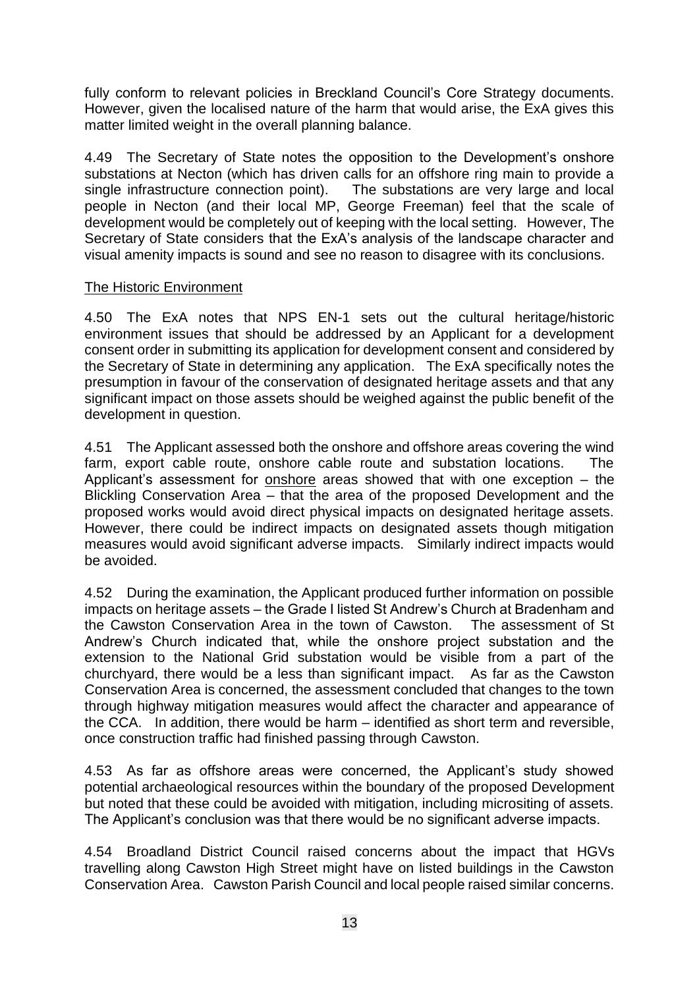fully conform to relevant policies in Breckland Council's Core Strategy documents. However, given the localised nature of the harm that would arise, the ExA gives this matter limited weight in the overall planning balance.

4.49 The Secretary of State notes the opposition to the Development's onshore substations at Necton (which has driven calls for an offshore ring main to provide a single infrastructure connection point). The substations are very large and local people in Necton (and their local MP, George Freeman) feel that the scale of development would be completely out of keeping with the local setting. However, The Secretary of State considers that the ExA's analysis of the landscape character and visual amenity impacts is sound and see no reason to disagree with its conclusions.

### The Historic Environment

4.50 The ExA notes that NPS EN-1 sets out the cultural heritage/historic environment issues that should be addressed by an Applicant for a development consent order in submitting its application for development consent and considered by the Secretary of State in determining any application. The ExA specifically notes the presumption in favour of the conservation of designated heritage assets and that any significant impact on those assets should be weighed against the public benefit of the development in question.

4.51 The Applicant assessed both the onshore and offshore areas covering the wind farm, export cable route, onshore cable route and substation locations. The Applicant's assessment for onshore areas showed that with one exception – the Blickling Conservation Area – that the area of the proposed Development and the proposed works would avoid direct physical impacts on designated heritage assets. However, there could be indirect impacts on designated assets though mitigation measures would avoid significant adverse impacts. Similarly indirect impacts would be avoided.

4.52 During the examination, the Applicant produced further information on possible impacts on heritage assets – the Grade I listed St Andrew's Church at Bradenham and the Cawston Conservation Area in the town of Cawston. The assessment of St Andrew's Church indicated that, while the onshore project substation and the extension to the National Grid substation would be visible from a part of the churchyard, there would be a less than significant impact. As far as the Cawston Conservation Area is concerned, the assessment concluded that changes to the town through highway mitigation measures would affect the character and appearance of the CCA. In addition, there would be harm – identified as short term and reversible, once construction traffic had finished passing through Cawston.

4.53 As far as offshore areas were concerned, the Applicant's study showed potential archaeological resources within the boundary of the proposed Development but noted that these could be avoided with mitigation, including micrositing of assets. The Applicant's conclusion was that there would be no significant adverse impacts.

4.54 Broadland District Council raised concerns about the impact that HGVs travelling along Cawston High Street might have on listed buildings in the Cawston Conservation Area. Cawston Parish Council and local people raised similar concerns.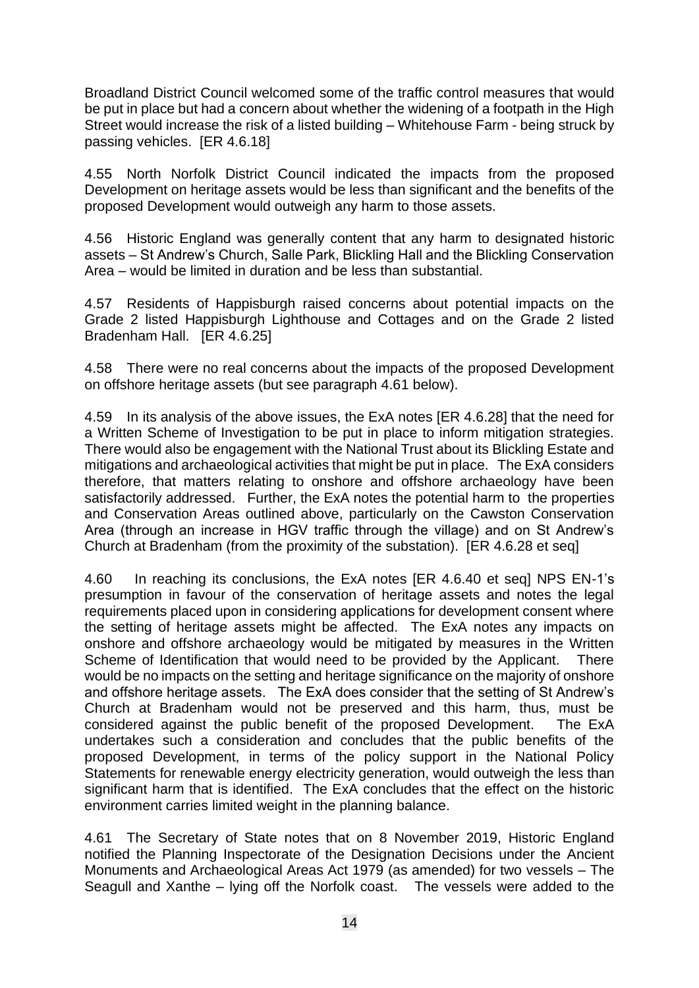Broadland District Council welcomed some of the traffic control measures that would be put in place but had a concern about whether the widening of a footpath in the High Street would increase the risk of a listed building – Whitehouse Farm - being struck by passing vehicles. [ER 4.6.18]

4.55 North Norfolk District Council indicated the impacts from the proposed Development on heritage assets would be less than significant and the benefits of the proposed Development would outweigh any harm to those assets.

4.56 Historic England was generally content that any harm to designated historic assets – St Andrew's Church, Salle Park, Blickling Hall and the Blickling Conservation Area – would be limited in duration and be less than substantial.

4.57 Residents of Happisburgh raised concerns about potential impacts on the Grade 2 listed Happisburgh Lighthouse and Cottages and on the Grade 2 listed Bradenham Hall. [ER 4.6.25]

4.58 There were no real concerns about the impacts of the proposed Development on offshore heritage assets (but see paragraph 4.61 below).

4.59 In its analysis of the above issues, the ExA notes [ER 4.6.28] that the need for a Written Scheme of Investigation to be put in place to inform mitigation strategies. There would also be engagement with the National Trust about its Blickling Estate and mitigations and archaeological activities that might be put in place. The ExA considers therefore, that matters relating to onshore and offshore archaeology have been satisfactorily addressed. Further, the ExA notes the potential harm to the properties and Conservation Areas outlined above, particularly on the Cawston Conservation Area (through an increase in HGV traffic through the village) and on St Andrew's Church at Bradenham (from the proximity of the substation). [ER 4.6.28 et seq]

4.60 In reaching its conclusions, the ExA notes [ER 4.6.40 et seq] NPS EN-1's presumption in favour of the conservation of heritage assets and notes the legal requirements placed upon in considering applications for development consent where the setting of heritage assets might be affected. The ExA notes any impacts on onshore and offshore archaeology would be mitigated by measures in the Written Scheme of Identification that would need to be provided by the Applicant. There would be no impacts on the setting and heritage significance on the majority of onshore and offshore heritage assets. The ExA does consider that the setting of St Andrew's Church at Bradenham would not be preserved and this harm, thus, must be considered against the public benefit of the proposed Development. The ExA undertakes such a consideration and concludes that the public benefits of the proposed Development, in terms of the policy support in the National Policy Statements for renewable energy electricity generation, would outweigh the less than significant harm that is identified. The ExA concludes that the effect on the historic environment carries limited weight in the planning balance.

4.61 The Secretary of State notes that on 8 November 2019, Historic England notified the Planning Inspectorate of the Designation Decisions under the Ancient Monuments and Archaeological Areas Act 1979 (as amended) for two vessels – The Seagull and Xanthe – lying off the Norfolk coast. The vessels were added to the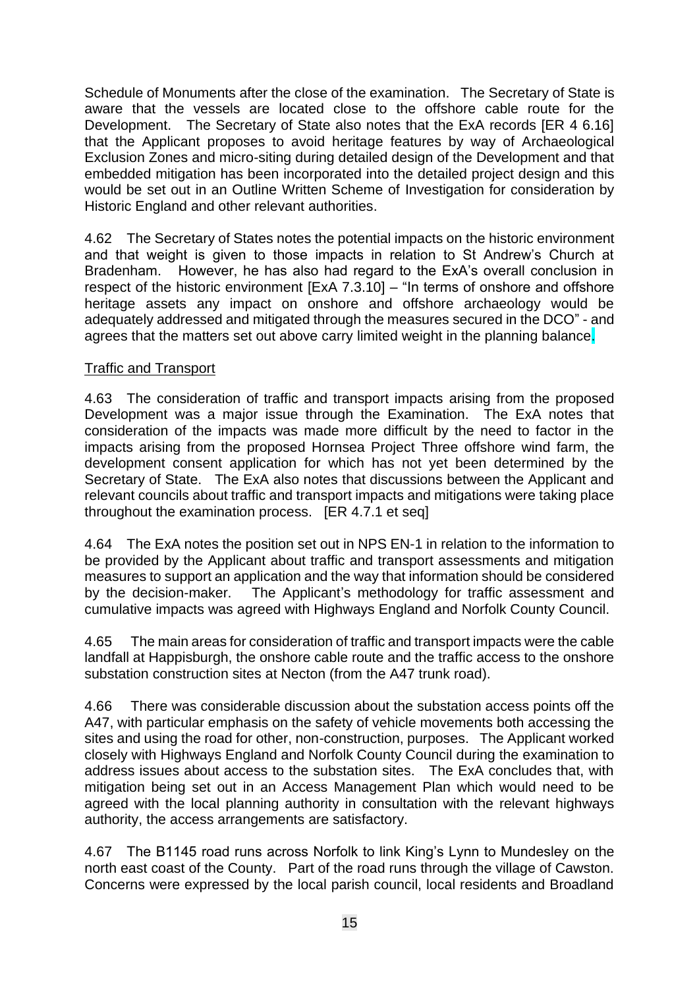Schedule of Monuments after the close of the examination. The Secretary of State is aware that the vessels are located close to the offshore cable route for the Development. The Secretary of State also notes that the ExA records [ER 4 6.16] that the Applicant proposes to avoid heritage features by way of Archaeological Exclusion Zones and micro-siting during detailed design of the Development and that embedded mitigation has been incorporated into the detailed project design and this would be set out in an Outline Written Scheme of Investigation for consideration by Historic England and other relevant authorities.

4.62 The Secretary of States notes the potential impacts on the historic environment and that weight is given to those impacts in relation to St Andrew's Church at Bradenham. However, he has also had regard to the ExA's overall conclusion in respect of the historic environment [ExA 7.3.10] – "In terms of onshore and offshore heritage assets any impact on onshore and offshore archaeology would be adequately addressed and mitigated through the measures secured in the DCO" - and agrees that the matters set out above carry limited weight in the planning balance.

## Traffic and Transport

4.63 The consideration of traffic and transport impacts arising from the proposed Development was a major issue through the Examination. The ExA notes that consideration of the impacts was made more difficult by the need to factor in the impacts arising from the proposed Hornsea Project Three offshore wind farm, the development consent application for which has not yet been determined by the Secretary of State. The ExA also notes that discussions between the Applicant and relevant councils about traffic and transport impacts and mitigations were taking place throughout the examination process. [ER 4.7.1 et seq]

4.64 The ExA notes the position set out in NPS EN-1 in relation to the information to be provided by the Applicant about traffic and transport assessments and mitigation measures to support an application and the way that information should be considered by the decision-maker. The Applicant's methodology for traffic assessment and cumulative impacts was agreed with Highways England and Norfolk County Council.

4.65 The main areas for consideration of traffic and transport impacts were the cable landfall at Happisburgh, the onshore cable route and the traffic access to the onshore substation construction sites at Necton (from the A47 trunk road).

4.66 There was considerable discussion about the substation access points off the A47, with particular emphasis on the safety of vehicle movements both accessing the sites and using the road for other, non-construction, purposes. The Applicant worked closely with Highways England and Norfolk County Council during the examination to address issues about access to the substation sites. The ExA concludes that, with mitigation being set out in an Access Management Plan which would need to be agreed with the local planning authority in consultation with the relevant highways authority, the access arrangements are satisfactory.

4.67 The B1145 road runs across Norfolk to link King's Lynn to Mundesley on the north east coast of the County. Part of the road runs through the village of Cawston. Concerns were expressed by the local parish council, local residents and Broadland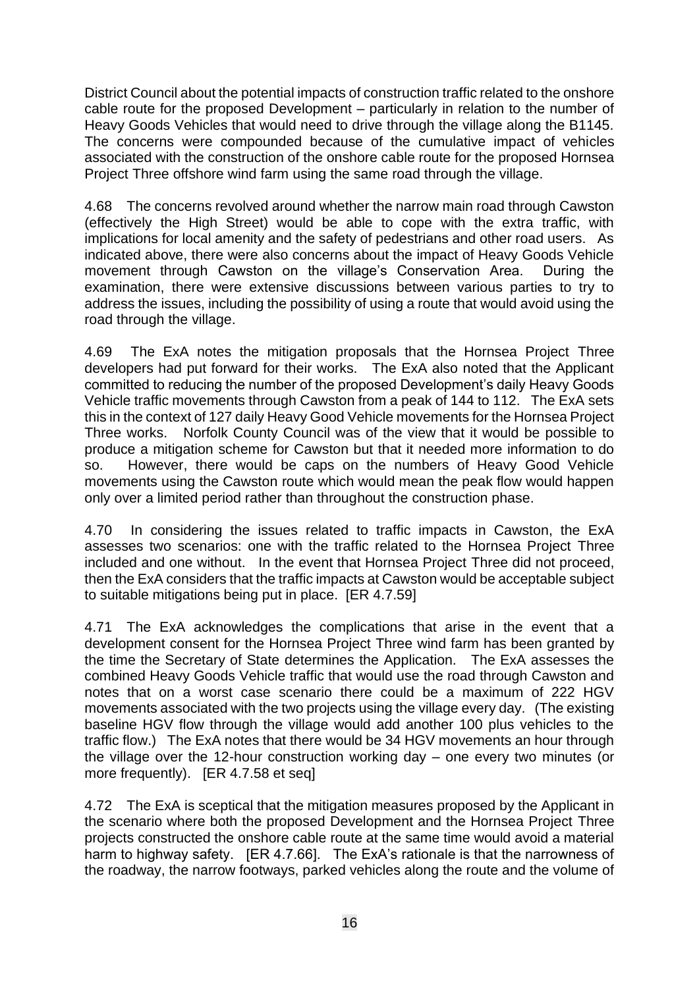District Council about the potential impacts of construction traffic related to the onshore cable route for the proposed Development – particularly in relation to the number of Heavy Goods Vehicles that would need to drive through the village along the B1145. The concerns were compounded because of the cumulative impact of vehicles associated with the construction of the onshore cable route for the proposed Hornsea Project Three offshore wind farm using the same road through the village.

4.68 The concerns revolved around whether the narrow main road through Cawston (effectively the High Street) would be able to cope with the extra traffic, with implications for local amenity and the safety of pedestrians and other road users. As indicated above, there were also concerns about the impact of Heavy Goods Vehicle movement through Cawston on the village's Conservation Area. During the examination, there were extensive discussions between various parties to try to address the issues, including the possibility of using a route that would avoid using the road through the village.

4.69 The ExA notes the mitigation proposals that the Hornsea Project Three developers had put forward for their works. The ExA also noted that the Applicant committed to reducing the number of the proposed Development's daily Heavy Goods Vehicle traffic movements through Cawston from a peak of 144 to 112. The ExA sets this in the context of 127 daily Heavy Good Vehicle movements for the Hornsea Project Three works. Norfolk County Council was of the view that it would be possible to produce a mitigation scheme for Cawston but that it needed more information to do so. However, there would be caps on the numbers of Heavy Good Vehicle movements using the Cawston route which would mean the peak flow would happen only over a limited period rather than throughout the construction phase.

4.70 In considering the issues related to traffic impacts in Cawston, the ExA assesses two scenarios: one with the traffic related to the Hornsea Project Three included and one without. In the event that Hornsea Project Three did not proceed, then the ExA considers that the traffic impacts at Cawston would be acceptable subject to suitable mitigations being put in place. [ER 4.7.59]

4.71 The ExA acknowledges the complications that arise in the event that a development consent for the Hornsea Project Three wind farm has been granted by the time the Secretary of State determines the Application. The ExA assesses the combined Heavy Goods Vehicle traffic that would use the road through Cawston and notes that on a worst case scenario there could be a maximum of 222 HGV movements associated with the two projects using the village every day. (The existing baseline HGV flow through the village would add another 100 plus vehicles to the traffic flow.) The ExA notes that there would be 34 HGV movements an hour through the village over the 12-hour construction working day – one every two minutes (or more frequently). [ER 4.7.58 et seq]

4.72 The ExA is sceptical that the mitigation measures proposed by the Applicant in the scenario where both the proposed Development and the Hornsea Project Three projects constructed the onshore cable route at the same time would avoid a material harm to highway safety. [ER 4.7.66]. The ExA's rationale is that the narrowness of the roadway, the narrow footways, parked vehicles along the route and the volume of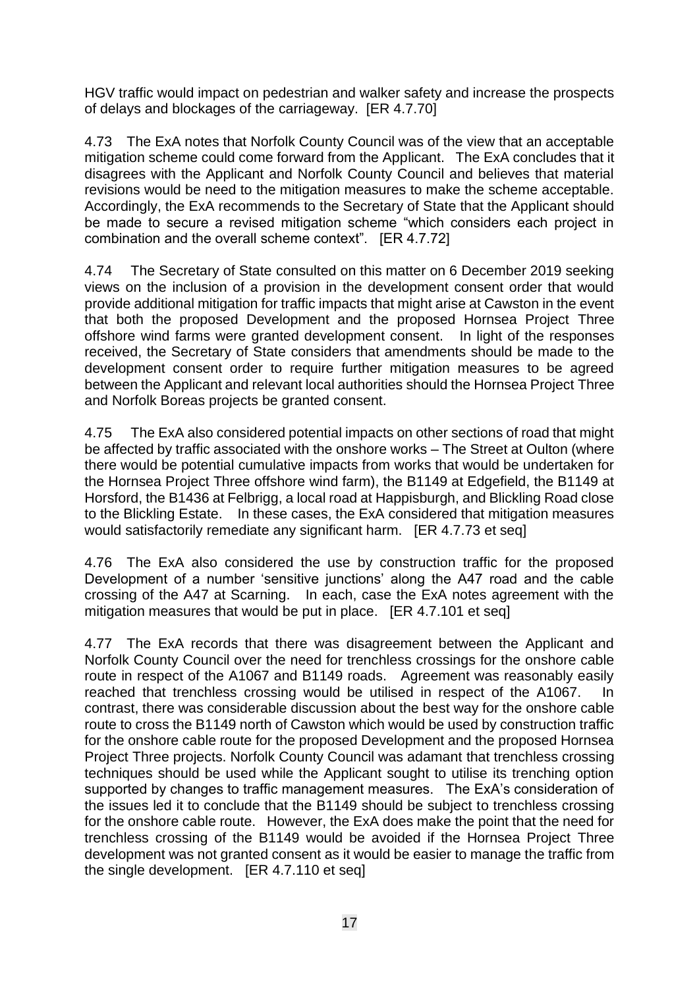HGV traffic would impact on pedestrian and walker safety and increase the prospects of delays and blockages of the carriageway. [ER 4.7.70]

4.73 The ExA notes that Norfolk County Council was of the view that an acceptable mitigation scheme could come forward from the Applicant. The ExA concludes that it disagrees with the Applicant and Norfolk County Council and believes that material revisions would be need to the mitigation measures to make the scheme acceptable. Accordingly, the ExA recommends to the Secretary of State that the Applicant should be made to secure a revised mitigation scheme "which considers each project in combination and the overall scheme context". [ER 4.7.72]

4.74 The Secretary of State consulted on this matter on 6 December 2019 seeking views on the inclusion of a provision in the development consent order that would provide additional mitigation for traffic impacts that might arise at Cawston in the event that both the proposed Development and the proposed Hornsea Project Three offshore wind farms were granted development consent. In light of the responses received, the Secretary of State considers that amendments should be made to the development consent order to require further mitigation measures to be agreed between the Applicant and relevant local authorities should the Hornsea Project Three and Norfolk Boreas projects be granted consent.

4.75 The ExA also considered potential impacts on other sections of road that might be affected by traffic associated with the onshore works – The Street at Oulton (where there would be potential cumulative impacts from works that would be undertaken for the Hornsea Project Three offshore wind farm), the B1149 at Edgefield, the B1149 at Horsford, the B1436 at Felbrigg, a local road at Happisburgh, and Blickling Road close to the Blickling Estate. In these cases, the ExA considered that mitigation measures would satisfactorily remediate any significant harm. [ER 4.7.73 et seq]

4.76 The ExA also considered the use by construction traffic for the proposed Development of a number 'sensitive junctions' along the A47 road and the cable crossing of the A47 at Scarning. In each, case the ExA notes agreement with the mitigation measures that would be put in place. [ER 4.7.101 et seq]

4.77 The ExA records that there was disagreement between the Applicant and Norfolk County Council over the need for trenchless crossings for the onshore cable route in respect of the A1067 and B1149 roads. Agreement was reasonably easily reached that trenchless crossing would be utilised in respect of the A1067. In contrast, there was considerable discussion about the best way for the onshore cable route to cross the B1149 north of Cawston which would be used by construction traffic for the onshore cable route for the proposed Development and the proposed Hornsea Project Three projects. Norfolk County Council was adamant that trenchless crossing techniques should be used while the Applicant sought to utilise its trenching option supported by changes to traffic management measures. The ExA's consideration of the issues led it to conclude that the B1149 should be subject to trenchless crossing for the onshore cable route. However, the ExA does make the point that the need for trenchless crossing of the B1149 would be avoided if the Hornsea Project Three development was not granted consent as it would be easier to manage the traffic from the single development. [ER 4.7.110 et seq]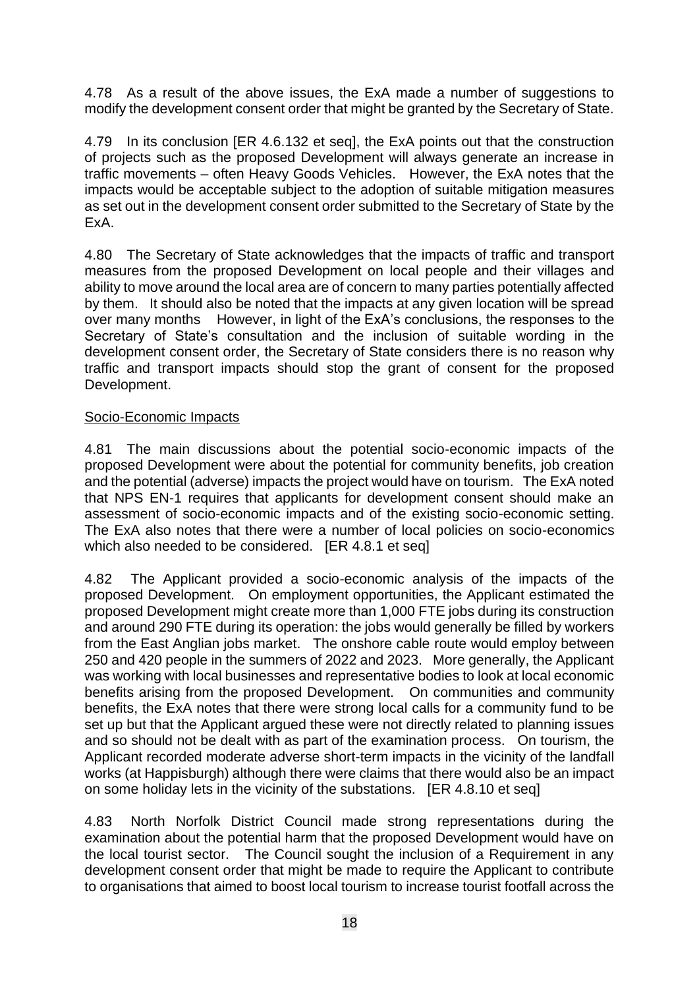4.78 As a result of the above issues, the ExA made a number of suggestions to modify the development consent order that might be granted by the Secretary of State.

4.79 In its conclusion [ER 4.6.132 et seq], the ExA points out that the construction of projects such as the proposed Development will always generate an increase in traffic movements – often Heavy Goods Vehicles. However, the ExA notes that the impacts would be acceptable subject to the adoption of suitable mitigation measures as set out in the development consent order submitted to the Secretary of State by the ExA.

4.80 The Secretary of State acknowledges that the impacts of traffic and transport measures from the proposed Development on local people and their villages and ability to move around the local area are of concern to many parties potentially affected by them. It should also be noted that the impacts at any given location will be spread over many months However, in light of the ExA's conclusions, the responses to the Secretary of State's consultation and the inclusion of suitable wording in the development consent order, the Secretary of State considers there is no reason why traffic and transport impacts should stop the grant of consent for the proposed Development.

### Socio-Economic Impacts

4.81 The main discussions about the potential socio-economic impacts of the proposed Development were about the potential for community benefits, job creation and the potential (adverse) impacts the project would have on tourism. The ExA noted that NPS EN-1 requires that applicants for development consent should make an assessment of socio-economic impacts and of the existing socio-economic setting. The ExA also notes that there were a number of local policies on socio-economics which also needed to be considered. **IER 4.8.1 et segl** 

4.82 The Applicant provided a socio-economic analysis of the impacts of the proposed Development. On employment opportunities, the Applicant estimated the proposed Development might create more than 1,000 FTE jobs during its construction and around 290 FTE during its operation: the jobs would generally be filled by workers from the East Anglian jobs market. The onshore cable route would employ between 250 and 420 people in the summers of 2022 and 2023. More generally, the Applicant was working with local businesses and representative bodies to look at local economic benefits arising from the proposed Development. On communities and community benefits, the ExA notes that there were strong local calls for a community fund to be set up but that the Applicant argued these were not directly related to planning issues and so should not be dealt with as part of the examination process. On tourism, the Applicant recorded moderate adverse short-term impacts in the vicinity of the landfall works (at Happisburgh) although there were claims that there would also be an impact on some holiday lets in the vicinity of the substations. [ER 4.8.10 et seq]

4.83 North Norfolk District Council made strong representations during the examination about the potential harm that the proposed Development would have on the local tourist sector. The Council sought the inclusion of a Requirement in any development consent order that might be made to require the Applicant to contribute to organisations that aimed to boost local tourism to increase tourist footfall across the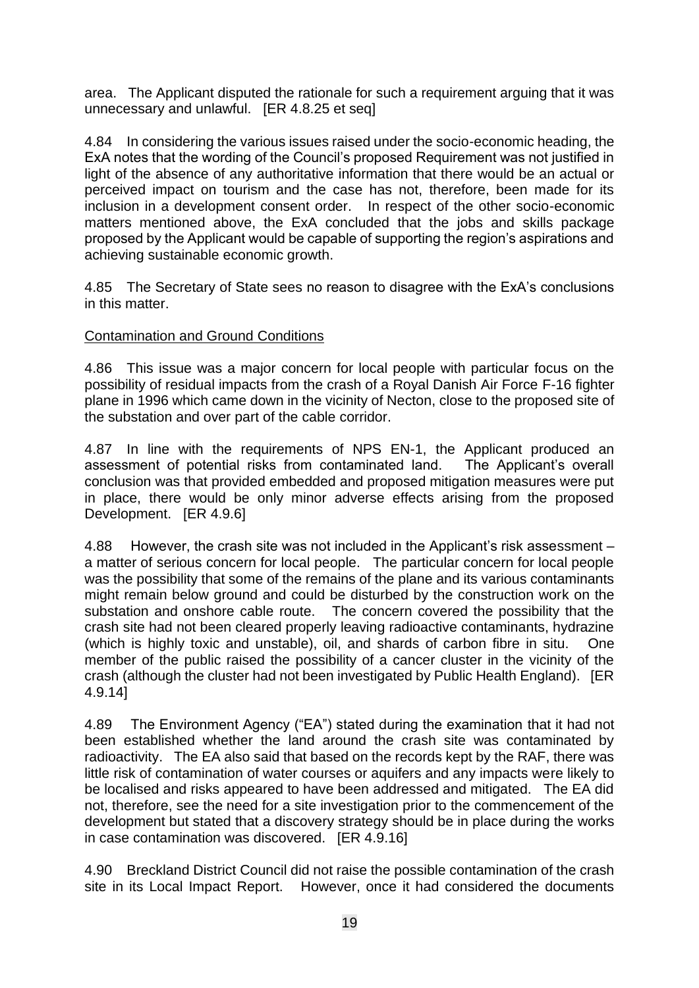area. The Applicant disputed the rationale for such a requirement arguing that it was unnecessary and unlawful. [ER 4.8.25 et seq]

4.84 In considering the various issues raised under the socio-economic heading, the ExA notes that the wording of the Council's proposed Requirement was not justified in light of the absence of any authoritative information that there would be an actual or perceived impact on tourism and the case has not, therefore, been made for its inclusion in a development consent order. In respect of the other socio-economic matters mentioned above, the ExA concluded that the jobs and skills package proposed by the Applicant would be capable of supporting the region's aspirations and achieving sustainable economic growth.

4.85 The Secretary of State sees no reason to disagree with the ExA's conclusions in this matter.

### Contamination and Ground Conditions

4.86 This issue was a major concern for local people with particular focus on the possibility of residual impacts from the crash of a Royal Danish Air Force F-16 fighter plane in 1996 which came down in the vicinity of Necton, close to the proposed site of the substation and over part of the cable corridor.

4.87 In line with the requirements of NPS EN-1, the Applicant produced an assessment of potential risks from contaminated land. The Applicant's overall conclusion was that provided embedded and proposed mitigation measures were put in place, there would be only minor adverse effects arising from the proposed Development. [ER 4.9.6]

4.88 However, the crash site was not included in the Applicant's risk assessment – a matter of serious concern for local people. The particular concern for local people was the possibility that some of the remains of the plane and its various contaminants might remain below ground and could be disturbed by the construction work on the substation and onshore cable route. The concern covered the possibility that the crash site had not been cleared properly leaving radioactive contaminants, hydrazine (which is highly toxic and unstable), oil, and shards of carbon fibre in situ. One member of the public raised the possibility of a cancer cluster in the vicinity of the crash (although the cluster had not been investigated by Public Health England). [ER 4.9.14]

4.89 The Environment Agency ("EA") stated during the examination that it had not been established whether the land around the crash site was contaminated by radioactivity. The EA also said that based on the records kept by the RAF, there was little risk of contamination of water courses or aquifers and any impacts were likely to be localised and risks appeared to have been addressed and mitigated. The EA did not, therefore, see the need for a site investigation prior to the commencement of the development but stated that a discovery strategy should be in place during the works in case contamination was discovered. [ER 4.9.16]

4.90 Breckland District Council did not raise the possible contamination of the crash site in its Local Impact Report. However, once it had considered the documents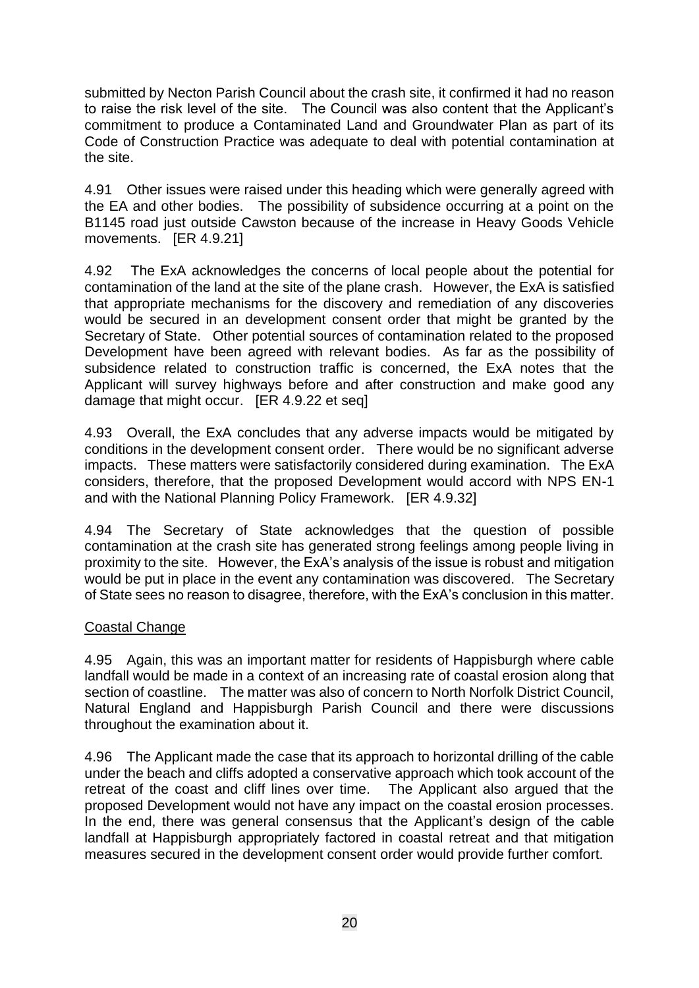submitted by Necton Parish Council about the crash site, it confirmed it had no reason to raise the risk level of the site. The Council was also content that the Applicant's commitment to produce a Contaminated Land and Groundwater Plan as part of its Code of Construction Practice was adequate to deal with potential contamination at the site.

4.91 Other issues were raised under this heading which were generally agreed with the EA and other bodies. The possibility of subsidence occurring at a point on the B1145 road just outside Cawston because of the increase in Heavy Goods Vehicle movements. [ER 4.9.21]

4.92 The ExA acknowledges the concerns of local people about the potential for contamination of the land at the site of the plane crash. However, the ExA is satisfied that appropriate mechanisms for the discovery and remediation of any discoveries would be secured in an development consent order that might be granted by the Secretary of State. Other potential sources of contamination related to the proposed Development have been agreed with relevant bodies. As far as the possibility of subsidence related to construction traffic is concerned, the ExA notes that the Applicant will survey highways before and after construction and make good any damage that might occur. [ER 4.9.22 et seq]

4.93 Overall, the ExA concludes that any adverse impacts would be mitigated by conditions in the development consent order. There would be no significant adverse impacts. These matters were satisfactorily considered during examination. The ExA considers, therefore, that the proposed Development would accord with NPS EN-1 and with the National Planning Policy Framework. [ER 4.9.32]

4.94 The Secretary of State acknowledges that the question of possible contamination at the crash site has generated strong feelings among people living in proximity to the site. However, the ExA's analysis of the issue is robust and mitigation would be put in place in the event any contamination was discovered. The Secretary of State sees no reason to disagree, therefore, with the ExA's conclusion in this matter.

## Coastal Change

4.95 Again, this was an important matter for residents of Happisburgh where cable landfall would be made in a context of an increasing rate of coastal erosion along that section of coastline. The matter was also of concern to North Norfolk District Council, Natural England and Happisburgh Parish Council and there were discussions throughout the examination about it.

4.96 The Applicant made the case that its approach to horizontal drilling of the cable under the beach and cliffs adopted a conservative approach which took account of the retreat of the coast and cliff lines over time. The Applicant also argued that the proposed Development would not have any impact on the coastal erosion processes. In the end, there was general consensus that the Applicant's design of the cable landfall at Happisburgh appropriately factored in coastal retreat and that mitigation measures secured in the development consent order would provide further comfort.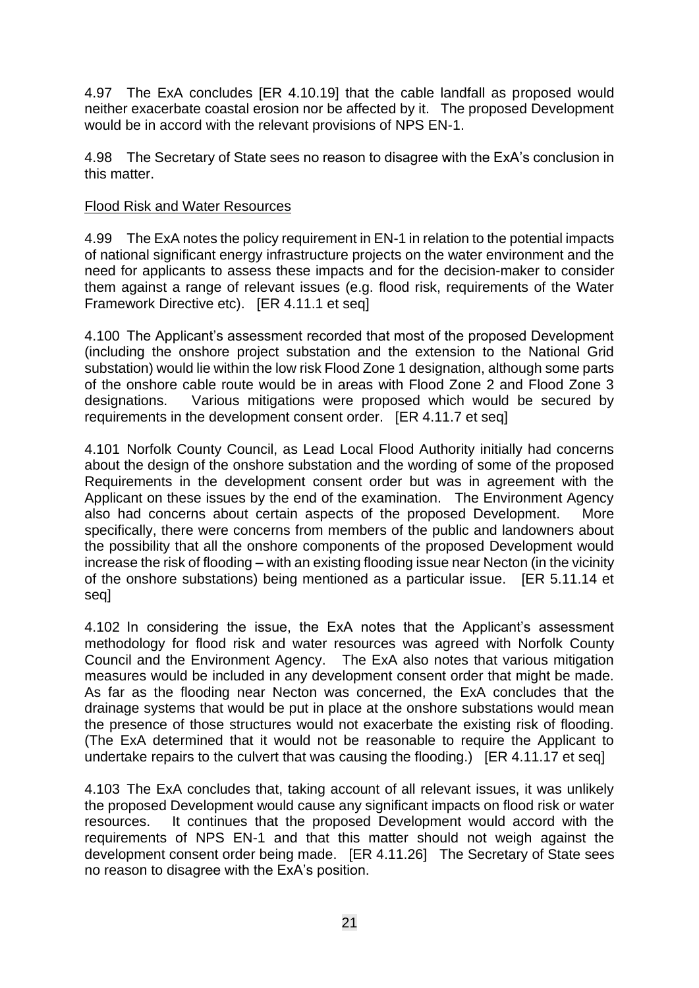4.97 The ExA concludes [ER 4.10.19] that the cable landfall as proposed would neither exacerbate coastal erosion nor be affected by it. The proposed Development would be in accord with the relevant provisions of NPS EN-1.

4.98 The Secretary of State sees no reason to disagree with the ExA's conclusion in this matter.

#### Flood Risk and Water Resources

4.99 The ExA notes the policy requirement in EN-1 in relation to the potential impacts of national significant energy infrastructure projects on the water environment and the need for applicants to assess these impacts and for the decision-maker to consider them against a range of relevant issues (e.g. flood risk, requirements of the Water Framework Directive etc). [ER 4.11.1 et seq]

4.100 The Applicant's assessment recorded that most of the proposed Development (including the onshore project substation and the extension to the National Grid substation) would lie within the low risk Flood Zone 1 designation, although some parts of the onshore cable route would be in areas with Flood Zone 2 and Flood Zone 3 designations. Various mitigations were proposed which would be secured by requirements in the development consent order. [ER 4.11.7 et seq]

4.101 Norfolk County Council, as Lead Local Flood Authority initially had concerns about the design of the onshore substation and the wording of some of the proposed Requirements in the development consent order but was in agreement with the Applicant on these issues by the end of the examination. The Environment Agency also had concerns about certain aspects of the proposed Development. More specifically, there were concerns from members of the public and landowners about the possibility that all the onshore components of the proposed Development would increase the risk of flooding – with an existing flooding issue near Necton (in the vicinity of the onshore substations) being mentioned as a particular issue. [ER 5.11.14 et seq]

4.102 In considering the issue, the ExA notes that the Applicant's assessment methodology for flood risk and water resources was agreed with Norfolk County Council and the Environment Agency. The ExA also notes that various mitigation measures would be included in any development consent order that might be made. As far as the flooding near Necton was concerned, the ExA concludes that the drainage systems that would be put in place at the onshore substations would mean the presence of those structures would not exacerbate the existing risk of flooding. (The ExA determined that it would not be reasonable to require the Applicant to undertake repairs to the culvert that was causing the flooding.) [ER 4.11.17 et seq]

4.103 The ExA concludes that, taking account of all relevant issues, it was unlikely the proposed Development would cause any significant impacts on flood risk or water resources. It continues that the proposed Development would accord with the requirements of NPS EN-1 and that this matter should not weigh against the development consent order being made. [ER 4.11.26] The Secretary of State sees no reason to disagree with the ExA's position.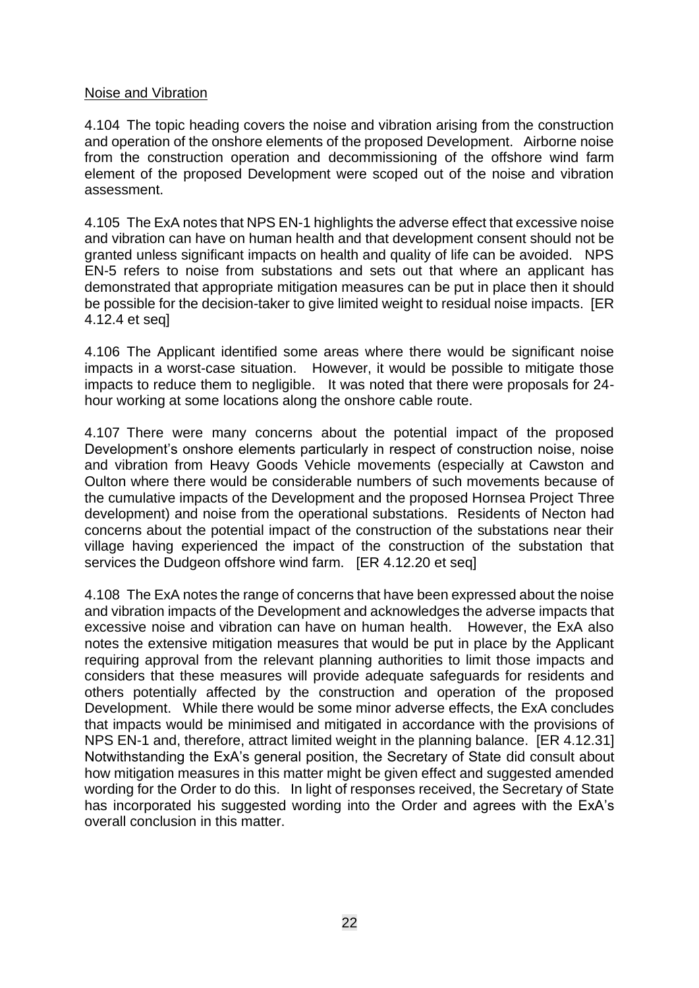#### Noise and Vibration

4.104 The topic heading covers the noise and vibration arising from the construction and operation of the onshore elements of the proposed Development. Airborne noise from the construction operation and decommissioning of the offshore wind farm element of the proposed Development were scoped out of the noise and vibration assessment.

4.105 The ExA notes that NPS EN-1 highlights the adverse effect that excessive noise and vibration can have on human health and that development consent should not be granted unless significant impacts on health and quality of life can be avoided. NPS EN-5 refers to noise from substations and sets out that where an applicant has demonstrated that appropriate mitigation measures can be put in place then it should be possible for the decision-taker to give limited weight to residual noise impacts. [ER 4.12.4 et seq]

4.106 The Applicant identified some areas where there would be significant noise impacts in a worst-case situation. However, it would be possible to mitigate those impacts to reduce them to negligible. It was noted that there were proposals for 24 hour working at some locations along the onshore cable route.

4.107 There were many concerns about the potential impact of the proposed Development's onshore elements particularly in respect of construction noise, noise and vibration from Heavy Goods Vehicle movements (especially at Cawston and Oulton where there would be considerable numbers of such movements because of the cumulative impacts of the Development and the proposed Hornsea Project Three development) and noise from the operational substations. Residents of Necton had concerns about the potential impact of the construction of the substations near their village having experienced the impact of the construction of the substation that services the Dudgeon offshore wind farm. [ER 4.12.20 et seq]

4.108 The ExA notes the range of concerns that have been expressed about the noise and vibration impacts of the Development and acknowledges the adverse impacts that excessive noise and vibration can have on human health. However, the ExA also notes the extensive mitigation measures that would be put in place by the Applicant requiring approval from the relevant planning authorities to limit those impacts and considers that these measures will provide adequate safeguards for residents and others potentially affected by the construction and operation of the proposed Development. While there would be some minor adverse effects, the ExA concludes that impacts would be minimised and mitigated in accordance with the provisions of NPS EN-1 and, therefore, attract limited weight in the planning balance. [ER 4.12.31] Notwithstanding the ExA's general position, the Secretary of State did consult about how mitigation measures in this matter might be given effect and suggested amended wording for the Order to do this. In light of responses received, the Secretary of State has incorporated his suggested wording into the Order and agrees with the ExA's overall conclusion in this matter.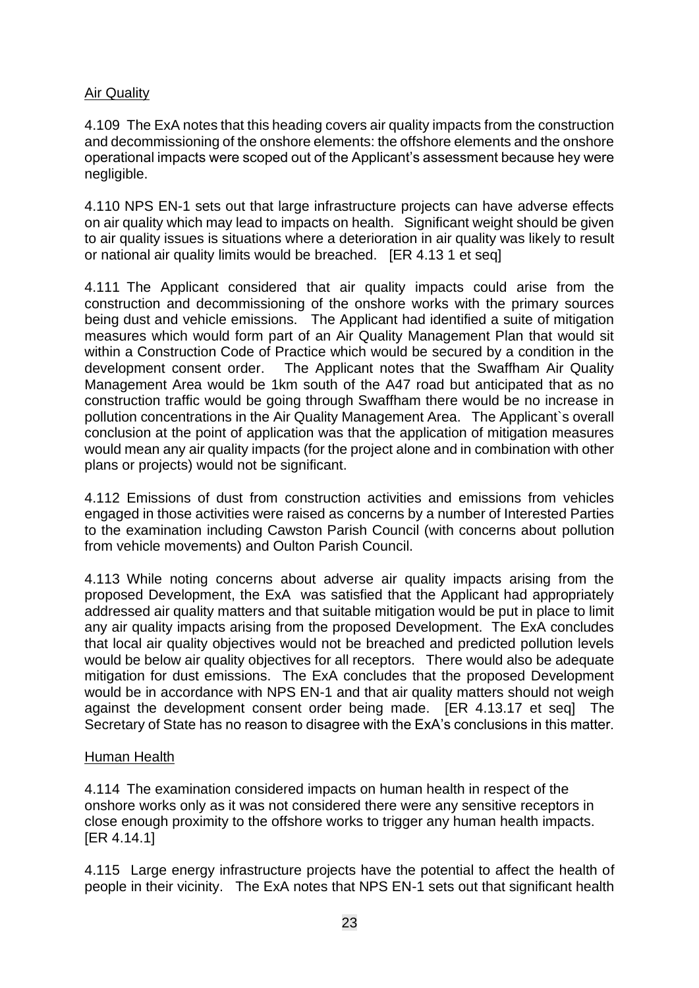## Air Quality

4.109 The ExA notes that this heading covers air quality impacts from the construction and decommissioning of the onshore elements: the offshore elements and the onshore operational impacts were scoped out of the Applicant's assessment because hey were negligible.

4.110 NPS EN-1 sets out that large infrastructure projects can have adverse effects on air quality which may lead to impacts on health. Significant weight should be given to air quality issues is situations where a deterioration in air quality was likely to result or national air quality limits would be breached. [ER 4.13 1 et seq]

4.111 The Applicant considered that air quality impacts could arise from the construction and decommissioning of the onshore works with the primary sources being dust and vehicle emissions. The Applicant had identified a suite of mitigation measures which would form part of an Air Quality Management Plan that would sit within a Construction Code of Practice which would be secured by a condition in the development consent order. The Applicant notes that the Swaffham Air Quality Management Area would be 1km south of the A47 road but anticipated that as no construction traffic would be going through Swaffham there would be no increase in pollution concentrations in the Air Quality Management Area. The Applicant`s overall conclusion at the point of application was that the application of mitigation measures would mean any air quality impacts (for the project alone and in combination with other plans or projects) would not be significant.

4.112 Emissions of dust from construction activities and emissions from vehicles engaged in those activities were raised as concerns by a number of Interested Parties to the examination including Cawston Parish Council (with concerns about pollution from vehicle movements) and Oulton Parish Council.

4.113 While noting concerns about adverse air quality impacts arising from the proposed Development, the ExA was satisfied that the Applicant had appropriately addressed air quality matters and that suitable mitigation would be put in place to limit any air quality impacts arising from the proposed Development. The ExA concludes that local air quality objectives would not be breached and predicted pollution levels would be below air quality objectives for all receptors. There would also be adequate mitigation for dust emissions. The ExA concludes that the proposed Development would be in accordance with NPS EN-1 and that air quality matters should not weigh against the development consent order being made. [ER 4.13.17 et seq] The Secretary of State has no reason to disagree with the ExA's conclusions in this matter.

#### Human Health

4.114 The examination considered impacts on human health in respect of the onshore works only as it was not considered there were any sensitive receptors in close enough proximity to the offshore works to trigger any human health impacts. [ER 4.14.1]

4.115 Large energy infrastructure projects have the potential to affect the health of people in their vicinity. The ExA notes that NPS EN-1 sets out that significant health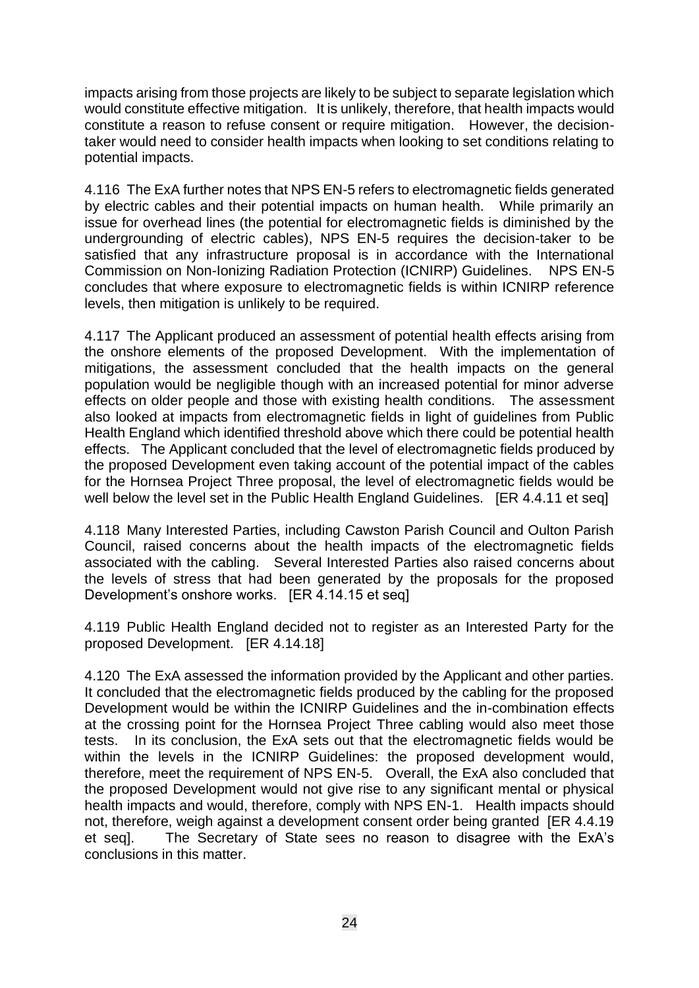impacts arising from those projects are likely to be subject to separate legislation which would constitute effective mitigation. It is unlikely, therefore, that health impacts would constitute a reason to refuse consent or require mitigation. However, the decisiontaker would need to consider health impacts when looking to set conditions relating to potential impacts.

4.116 The ExA further notes that NPS EN-5 refers to electromagnetic fields generated by electric cables and their potential impacts on human health. While primarily an issue for overhead lines (the potential for electromagnetic fields is diminished by the undergrounding of electric cables), NPS EN-5 requires the decision-taker to be satisfied that any infrastructure proposal is in accordance with the International Commission on Non-Ionizing Radiation Protection (ICNIRP) Guidelines. NPS EN-5 concludes that where exposure to electromagnetic fields is within ICNIRP reference levels, then mitigation is unlikely to be required.

4.117 The Applicant produced an assessment of potential health effects arising from the onshore elements of the proposed Development. With the implementation of mitigations, the assessment concluded that the health impacts on the general population would be negligible though with an increased potential for minor adverse effects on older people and those with existing health conditions. The assessment also looked at impacts from electromagnetic fields in light of guidelines from Public Health England which identified threshold above which there could be potential health effects. The Applicant concluded that the level of electromagnetic fields produced by the proposed Development even taking account of the potential impact of the cables for the Hornsea Project Three proposal, the level of electromagnetic fields would be well below the level set in the Public Health England Guidelines. [ER 4.4.11 et seq]

4.118 Many Interested Parties, including Cawston Parish Council and Oulton Parish Council, raised concerns about the health impacts of the electromagnetic fields associated with the cabling. Several Interested Parties also raised concerns about the levels of stress that had been generated by the proposals for the proposed Development's onshore works. [ER 4.14.15 et seq]

4.119 Public Health England decided not to register as an Interested Party for the proposed Development. [ER 4.14.18]

4.120 The ExA assessed the information provided by the Applicant and other parties. It concluded that the electromagnetic fields produced by the cabling for the proposed Development would be within the ICNIRP Guidelines and the in-combination effects at the crossing point for the Hornsea Project Three cabling would also meet those tests. In its conclusion, the ExA sets out that the electromagnetic fields would be within the levels in the ICNIRP Guidelines: the proposed development would, therefore, meet the requirement of NPS EN-5. Overall, the ExA also concluded that the proposed Development would not give rise to any significant mental or physical health impacts and would, therefore, comply with NPS EN-1. Health impacts should not, therefore, weigh against a development consent order being granted [ER 4.4.19 et seq]. The Secretary of State sees no reason to disagree with the ExA's conclusions in this matter.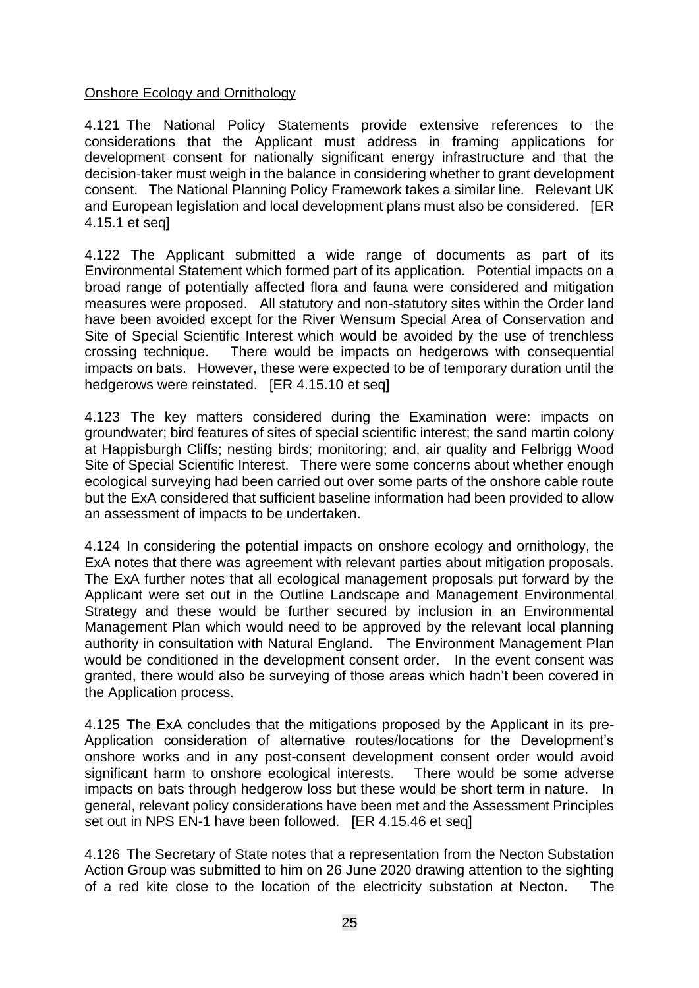### Onshore Ecology and Ornithology

4.121 The National Policy Statements provide extensive references to the considerations that the Applicant must address in framing applications for development consent for nationally significant energy infrastructure and that the decision-taker must weigh in the balance in considering whether to grant development consent. The National Planning Policy Framework takes a similar line. Relevant UK and European legislation and local development plans must also be considered. [ER 4.15.1 et seq]

4.122 The Applicant submitted a wide range of documents as part of its Environmental Statement which formed part of its application. Potential impacts on a broad range of potentially affected flora and fauna were considered and mitigation measures were proposed. All statutory and non-statutory sites within the Order land have been avoided except for the River Wensum Special Area of Conservation and Site of Special Scientific Interest which would be avoided by the use of trenchless crossing technique. There would be impacts on hedgerows with consequential impacts on bats. However, these were expected to be of temporary duration until the hedgerows were reinstated. [ER 4.15.10 et seq]

4.123 The key matters considered during the Examination were: impacts on groundwater; bird features of sites of special scientific interest; the sand martin colony at Happisburgh Cliffs; nesting birds; monitoring; and, air quality and Felbrigg Wood Site of Special Scientific Interest. There were some concerns about whether enough ecological surveying had been carried out over some parts of the onshore cable route but the ExA considered that sufficient baseline information had been provided to allow an assessment of impacts to be undertaken.

4.124 In considering the potential impacts on onshore ecology and ornithology, the ExA notes that there was agreement with relevant parties about mitigation proposals. The ExA further notes that all ecological management proposals put forward by the Applicant were set out in the Outline Landscape and Management Environmental Strategy and these would be further secured by inclusion in an Environmental Management Plan which would need to be approved by the relevant local planning authority in consultation with Natural England. The Environment Management Plan would be conditioned in the development consent order. In the event consent was granted, there would also be surveying of those areas which hadn't been covered in the Application process.

4.125 The ExA concludes that the mitigations proposed by the Applicant in its pre-Application consideration of alternative routes/locations for the Development's onshore works and in any post-consent development consent order would avoid significant harm to onshore ecological interests. There would be some adverse impacts on bats through hedgerow loss but these would be short term in nature. In general, relevant policy considerations have been met and the Assessment Principles set out in NPS EN-1 have been followed. [ER 4.15.46 et seq]

4.126 The Secretary of State notes that a representation from the Necton Substation Action Group was submitted to him on 26 June 2020 drawing attention to the sighting of a red kite close to the location of the electricity substation at Necton. The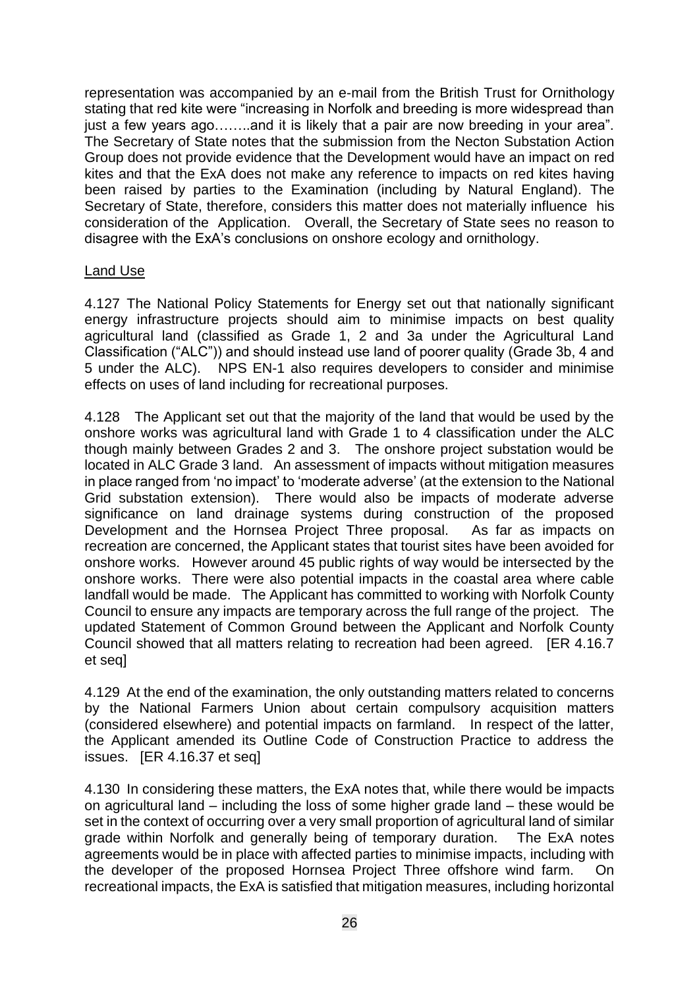representation was accompanied by an e-mail from the British Trust for Ornithology stating that red kite were "increasing in Norfolk and breeding is more widespread than just a few years ago.......and it is likely that a pair are now breeding in your area". The Secretary of State notes that the submission from the Necton Substation Action Group does not provide evidence that the Development would have an impact on red kites and that the ExA does not make any reference to impacts on red kites having been raised by parties to the Examination (including by Natural England). The Secretary of State, therefore, considers this matter does not materially influence his consideration of the Application. Overall, the Secretary of State sees no reason to disagree with the ExA's conclusions on onshore ecology and ornithology.

### Land Use

4.127 The National Policy Statements for Energy set out that nationally significant energy infrastructure projects should aim to minimise impacts on best quality agricultural land (classified as Grade 1, 2 and 3a under the Agricultural Land Classification ("ALC")) and should instead use land of poorer quality (Grade 3b, 4 and 5 under the ALC). NPS EN-1 also requires developers to consider and minimise effects on uses of land including for recreational purposes.

4.128 The Applicant set out that the majority of the land that would be used by the onshore works was agricultural land with Grade 1 to 4 classification under the ALC though mainly between Grades 2 and 3. The onshore project substation would be located in ALC Grade 3 land. An assessment of impacts without mitigation measures in place ranged from 'no impact' to 'moderate adverse' (at the extension to the National Grid substation extension). There would also be impacts of moderate adverse significance on land drainage systems during construction of the proposed Development and the Hornsea Project Three proposal. As far as impacts on recreation are concerned, the Applicant states that tourist sites have been avoided for onshore works. However around 45 public rights of way would be intersected by the onshore works. There were also potential impacts in the coastal area where cable landfall would be made. The Applicant has committed to working with Norfolk County Council to ensure any impacts are temporary across the full range of the project. The updated Statement of Common Ground between the Applicant and Norfolk County Council showed that all matters relating to recreation had been agreed. [ER 4.16.7 et seq]

4.129 At the end of the examination, the only outstanding matters related to concerns by the National Farmers Union about certain compulsory acquisition matters (considered elsewhere) and potential impacts on farmland. In respect of the latter, the Applicant amended its Outline Code of Construction Practice to address the issues. [ER 4.16.37 et seq]

4.130 In considering these matters, the ExA notes that, while there would be impacts on agricultural land – including the loss of some higher grade land – these would be set in the context of occurring over a very small proportion of agricultural land of similar grade within Norfolk and generally being of temporary duration. The ExA notes agreements would be in place with affected parties to minimise impacts, including with the developer of the proposed Hornsea Project Three offshore wind farm. On recreational impacts, the ExA is satisfied that mitigation measures, including horizontal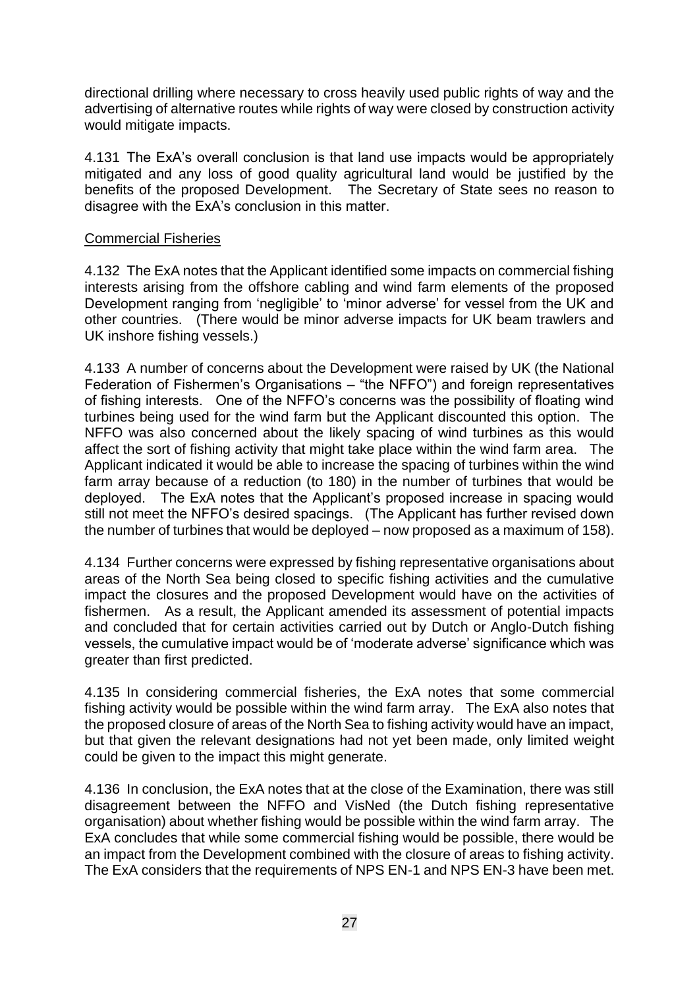directional drilling where necessary to cross heavily used public rights of way and the advertising of alternative routes while rights of way were closed by construction activity would mitigate impacts.

4.131 The ExA's overall conclusion is that land use impacts would be appropriately mitigated and any loss of good quality agricultural land would be justified by the benefits of the proposed Development. The Secretary of State sees no reason to disagree with the ExA's conclusion in this matter.

#### Commercial Fisheries

4.132 The ExA notes that the Applicant identified some impacts on commercial fishing interests arising from the offshore cabling and wind farm elements of the proposed Development ranging from 'negligible' to 'minor adverse' for vessel from the UK and other countries. (There would be minor adverse impacts for UK beam trawlers and UK inshore fishing vessels.)

4.133 A number of concerns about the Development were raised by UK (the National Federation of Fishermen's Organisations – "the NFFO") and foreign representatives of fishing interests. One of the NFFO's concerns was the possibility of floating wind turbines being used for the wind farm but the Applicant discounted this option. The NFFO was also concerned about the likely spacing of wind turbines as this would affect the sort of fishing activity that might take place within the wind farm area. The Applicant indicated it would be able to increase the spacing of turbines within the wind farm array because of a reduction (to 180) in the number of turbines that would be deployed. The ExA notes that the Applicant's proposed increase in spacing would still not meet the NFFO's desired spacings. (The Applicant has further revised down the number of turbines that would be deployed – now proposed as a maximum of 158).

4.134 Further concerns were expressed by fishing representative organisations about areas of the North Sea being closed to specific fishing activities and the cumulative impact the closures and the proposed Development would have on the activities of fishermen. As a result, the Applicant amended its assessment of potential impacts and concluded that for certain activities carried out by Dutch or Anglo-Dutch fishing vessels, the cumulative impact would be of 'moderate adverse' significance which was greater than first predicted.

4.135 In considering commercial fisheries, the ExA notes that some commercial fishing activity would be possible within the wind farm array. The ExA also notes that the proposed closure of areas of the North Sea to fishing activity would have an impact, but that given the relevant designations had not yet been made, only limited weight could be given to the impact this might generate.

4.136 In conclusion, the ExA notes that at the close of the Examination, there was still disagreement between the NFFO and VisNed (the Dutch fishing representative organisation) about whether fishing would be possible within the wind farm array. The ExA concludes that while some commercial fishing would be possible, there would be an impact from the Development combined with the closure of areas to fishing activity. The ExA considers that the requirements of NPS EN-1 and NPS EN-3 have been met.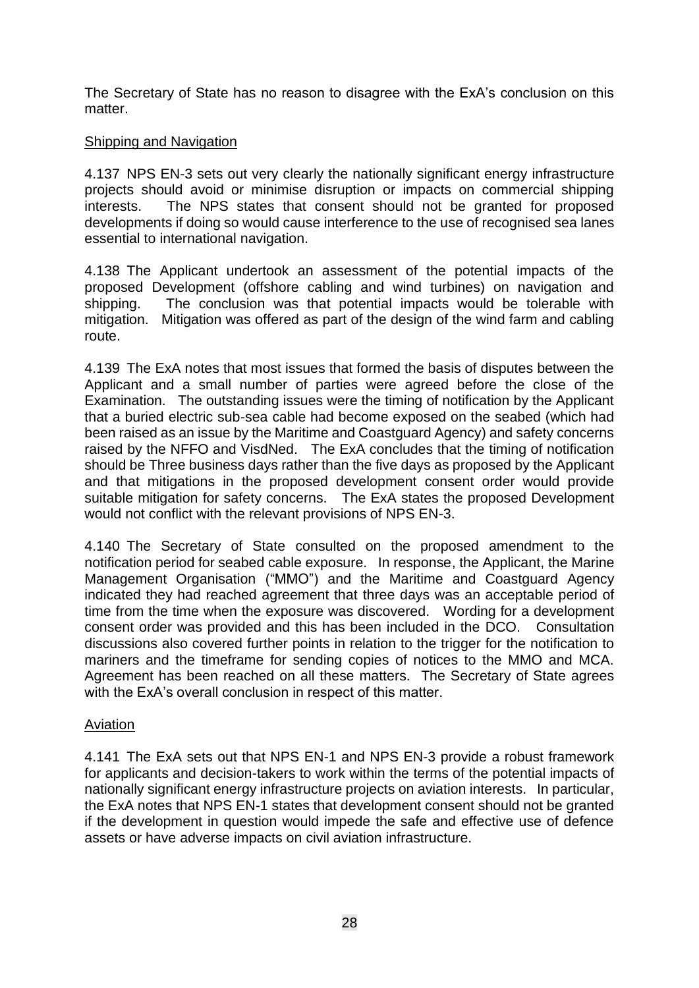The Secretary of State has no reason to disagree with the ExA's conclusion on this matter.

### Shipping and Navigation

4.137 NPS EN-3 sets out very clearly the nationally significant energy infrastructure projects should avoid or minimise disruption or impacts on commercial shipping interests. The NPS states that consent should not be granted for proposed developments if doing so would cause interference to the use of recognised sea lanes essential to international navigation.

4.138 The Applicant undertook an assessment of the potential impacts of the proposed Development (offshore cabling and wind turbines) on navigation and shipping. The conclusion was that potential impacts would be tolerable with mitigation. Mitigation was offered as part of the design of the wind farm and cabling route.

4.139 The ExA notes that most issues that formed the basis of disputes between the Applicant and a small number of parties were agreed before the close of the Examination. The outstanding issues were the timing of notification by the Applicant that a buried electric sub-sea cable had become exposed on the seabed (which had been raised as an issue by the Maritime and Coastguard Agency) and safety concerns raised by the NFFO and VisdNed. The ExA concludes that the timing of notification should be Three business days rather than the five days as proposed by the Applicant and that mitigations in the proposed development consent order would provide suitable mitigation for safety concerns. The ExA states the proposed Development would not conflict with the relevant provisions of NPS EN-3.

4.140 The Secretary of State consulted on the proposed amendment to the notification period for seabed cable exposure. In response, the Applicant, the Marine Management Organisation ("MMO") and the Maritime and Coastguard Agency indicated they had reached agreement that three days was an acceptable period of time from the time when the exposure was discovered. Wording for a development consent order was provided and this has been included in the DCO. Consultation discussions also covered further points in relation to the trigger for the notification to mariners and the timeframe for sending copies of notices to the MMO and MCA. Agreement has been reached on all these matters. The Secretary of State agrees with the ExA's overall conclusion in respect of this matter.

## Aviation

4.141 The ExA sets out that NPS EN-1 and NPS EN-3 provide a robust framework for applicants and decision-takers to work within the terms of the potential impacts of nationally significant energy infrastructure projects on aviation interests. In particular, the ExA notes that NPS EN-1 states that development consent should not be granted if the development in question would impede the safe and effective use of defence assets or have adverse impacts on civil aviation infrastructure.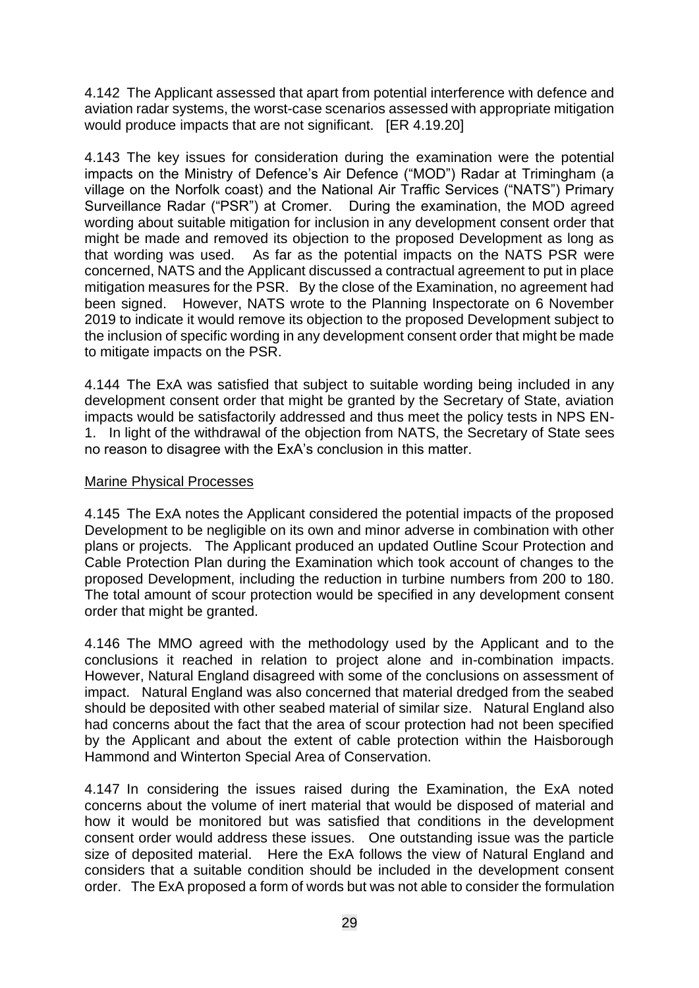4.142 The Applicant assessed that apart from potential interference with defence and aviation radar systems, the worst-case scenarios assessed with appropriate mitigation would produce impacts that are not significant. [ER 4.19.20]

4.143 The key issues for consideration during the examination were the potential impacts on the Ministry of Defence's Air Defence ("MOD") Radar at Trimingham (a village on the Norfolk coast) and the National Air Traffic Services ("NATS") Primary Surveillance Radar ("PSR") at Cromer. During the examination, the MOD agreed wording about suitable mitigation for inclusion in any development consent order that might be made and removed its objection to the proposed Development as long as that wording was used. As far as the potential impacts on the NATS PSR were concerned, NATS and the Applicant discussed a contractual agreement to put in place mitigation measures for the PSR. By the close of the Examination, no agreement had been signed. However, NATS wrote to the Planning Inspectorate on 6 November 2019 to indicate it would remove its objection to the proposed Development subject to the inclusion of specific wording in any development consent order that might be made to mitigate impacts on the PSR.

4.144 The ExA was satisfied that subject to suitable wording being included in any development consent order that might be granted by the Secretary of State, aviation impacts would be satisfactorily addressed and thus meet the policy tests in NPS EN-1. In light of the withdrawal of the objection from NATS, the Secretary of State sees no reason to disagree with the ExA's conclusion in this matter.

#### Marine Physical Processes

4.145 The ExA notes the Applicant considered the potential impacts of the proposed Development to be negligible on its own and minor adverse in combination with other plans or projects. The Applicant produced an updated Outline Scour Protection and Cable Protection Plan during the Examination which took account of changes to the proposed Development, including the reduction in turbine numbers from 200 to 180. The total amount of scour protection would be specified in any development consent order that might be granted.

4.146 The MMO agreed with the methodology used by the Applicant and to the conclusions it reached in relation to project alone and in-combination impacts. However, Natural England disagreed with some of the conclusions on assessment of impact. Natural England was also concerned that material dredged from the seabed should be deposited with other seabed material of similar size. Natural England also had concerns about the fact that the area of scour protection had not been specified by the Applicant and about the extent of cable protection within the Haisborough Hammond and Winterton Special Area of Conservation.

4.147 In considering the issues raised during the Examination, the ExA noted concerns about the volume of inert material that would be disposed of material and how it would be monitored but was satisfied that conditions in the development consent order would address these issues. One outstanding issue was the particle size of deposited material. Here the ExA follows the view of Natural England and considers that a suitable condition should be included in the development consent order. The ExA proposed a form of words but was not able to consider the formulation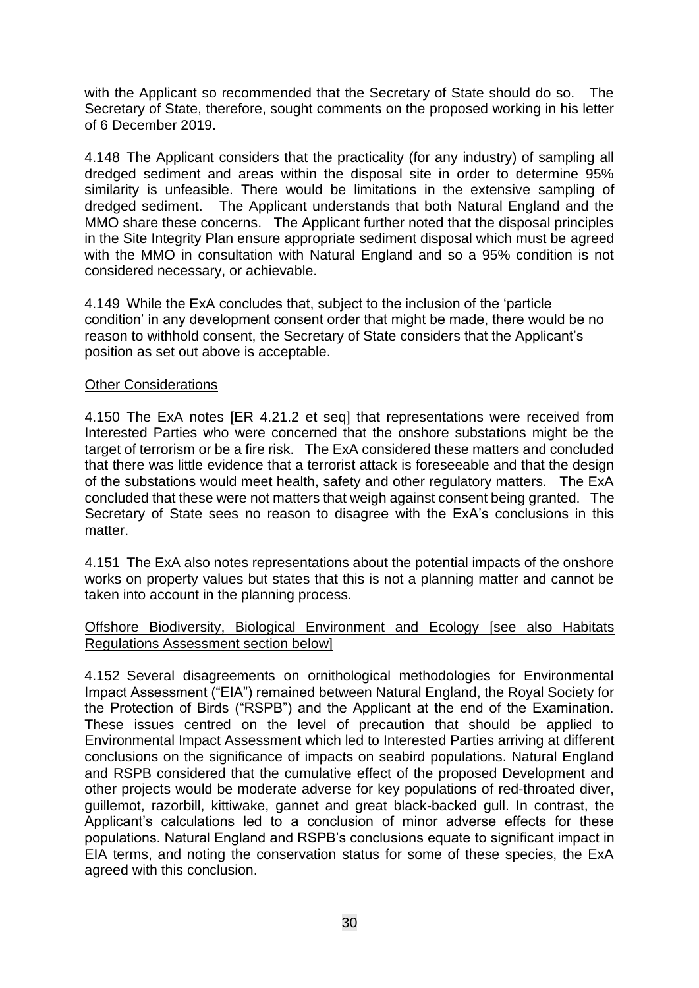with the Applicant so recommended that the Secretary of State should do so. The Secretary of State, therefore, sought comments on the proposed working in his letter of 6 December 2019.

4.148 The Applicant considers that the practicality (for any industry) of sampling all dredged sediment and areas within the disposal site in order to determine 95% similarity is unfeasible. There would be limitations in the extensive sampling of dredged sediment. The Applicant understands that both Natural England and the MMO share these concerns. The Applicant further noted that the disposal principles in the Site Integrity Plan ensure appropriate sediment disposal which must be agreed with the MMO in consultation with Natural England and so a 95% condition is not considered necessary, or achievable.

4.149 While the ExA concludes that, subject to the inclusion of the 'particle condition' in any development consent order that might be made, there would be no reason to withhold consent, the Secretary of State considers that the Applicant's position as set out above is acceptable.

#### Other Considerations

4.150 The ExA notes [ER 4.21.2 et seq] that representations were received from Interested Parties who were concerned that the onshore substations might be the target of terrorism or be a fire risk. The ExA considered these matters and concluded that there was little evidence that a terrorist attack is foreseeable and that the design of the substations would meet health, safety and other regulatory matters. The ExA concluded that these were not matters that weigh against consent being granted. The Secretary of State sees no reason to disagree with the ExA's conclusions in this matter.

4.151 The ExA also notes representations about the potential impacts of the onshore works on property values but states that this is not a planning matter and cannot be taken into account in the planning process.

#### Offshore Biodiversity, Biological Environment and Ecology [see also Habitats Regulations Assessment section below]

4.152 Several disagreements on ornithological methodologies for Environmental Impact Assessment ("EIA") remained between Natural England, the Royal Society for the Protection of Birds ("RSPB") and the Applicant at the end of the Examination. These issues centred on the level of precaution that should be applied to Environmental Impact Assessment which led to Interested Parties arriving at different conclusions on the significance of impacts on seabird populations. Natural England and RSPB considered that the cumulative effect of the proposed Development and other projects would be moderate adverse for key populations of red-throated diver, guillemot, razorbill, kittiwake, gannet and great black-backed gull. In contrast, the Applicant's calculations led to a conclusion of minor adverse effects for these populations. Natural England and RSPB's conclusions equate to significant impact in EIA terms, and noting the conservation status for some of these species, the ExA agreed with this conclusion.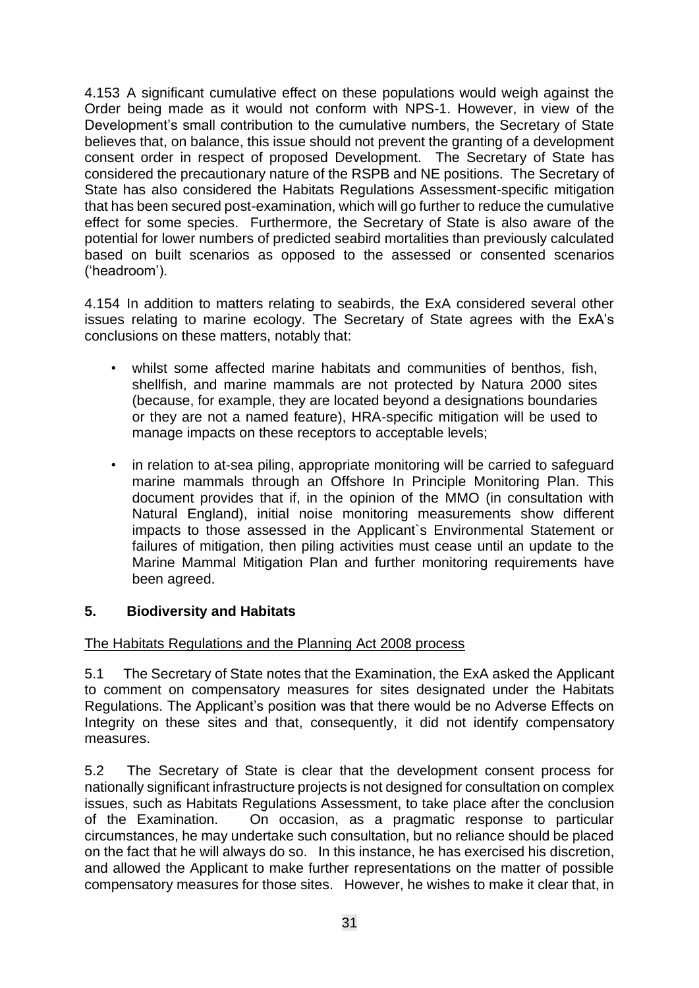4.153 A significant cumulative effect on these populations would weigh against the Order being made as it would not conform with NPS-1. However, in view of the Development's small contribution to the cumulative numbers, the Secretary of State believes that, on balance, this issue should not prevent the granting of a development consent order in respect of proposed Development. The Secretary of State has considered the precautionary nature of the RSPB and NE positions. The Secretary of State has also considered the Habitats Regulations Assessment-specific mitigation that has been secured post-examination, which will go further to reduce the cumulative effect for some species. Furthermore, the Secretary of State is also aware of the potential for lower numbers of predicted seabird mortalities than previously calculated based on built scenarios as opposed to the assessed or consented scenarios ('headroom').

4.154 In addition to matters relating to seabirds, the ExA considered several other issues relating to marine ecology. The Secretary of State agrees with the ExA's conclusions on these matters, notably that:

- whilst some affected marine habitats and communities of benthos, fish, shellfish, and marine mammals are not protected by Natura 2000 sites (because, for example, they are located beyond a designations boundaries or they are not a named feature), HRA-specific mitigation will be used to manage impacts on these receptors to acceptable levels;
- in relation to at-sea piling, appropriate monitoring will be carried to safeguard marine mammals through an Offshore In Principle Monitoring Plan. This document provides that if, in the opinion of the MMO (in consultation with Natural England), initial noise monitoring measurements show different impacts to those assessed in the Applicant`s Environmental Statement or failures of mitigation, then piling activities must cease until an update to the Marine Mammal Mitigation Plan and further monitoring requirements have been agreed.

## **5. Biodiversity and Habitats**

## The Habitats Regulations and the Planning Act 2008 process

5.1 The Secretary of State notes that the Examination, the ExA asked the Applicant to comment on compensatory measures for sites designated under the Habitats Regulations. The Applicant's position was that there would be no Adverse Effects on Integrity on these sites and that, consequently, it did not identify compensatory measures.

5.2 The Secretary of State is clear that the development consent process for nationally significant infrastructure projects is not designed for consultation on complex issues, such as Habitats Regulations Assessment, to take place after the conclusion of the Examination. On occasion, as a pragmatic response to particular circumstances, he may undertake such consultation, but no reliance should be placed on the fact that he will always do so. In this instance, he has exercised his discretion, and allowed the Applicant to make further representations on the matter of possible compensatory measures for those sites. However, he wishes to make it clear that, in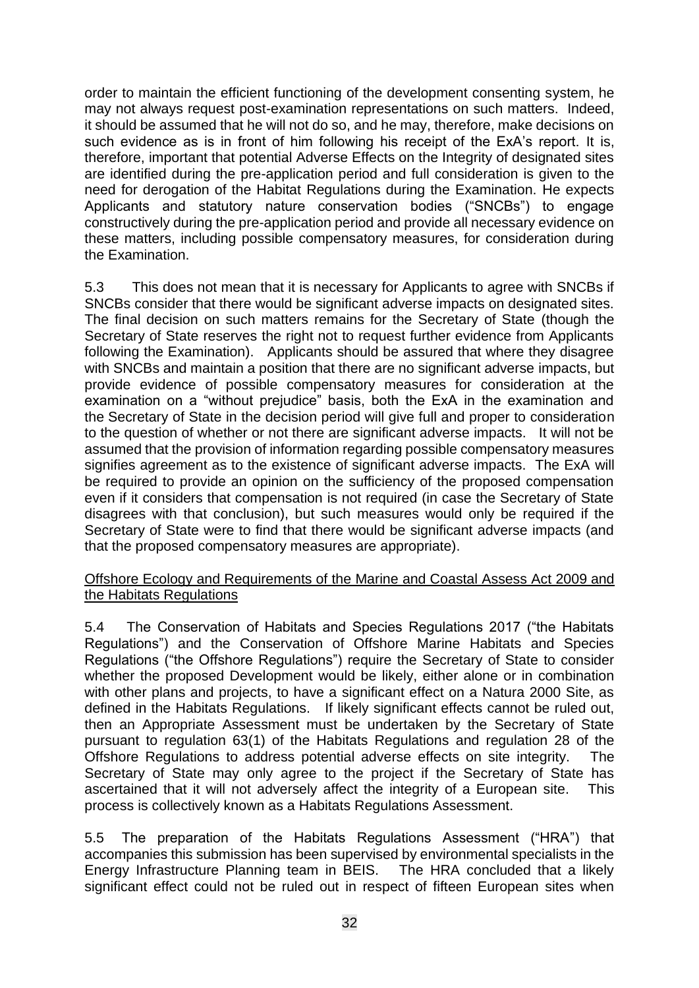order to maintain the efficient functioning of the development consenting system, he may not always request post-examination representations on such matters. Indeed, it should be assumed that he will not do so, and he may, therefore, make decisions on such evidence as is in front of him following his receipt of the ExA's report. It is, therefore, important that potential Adverse Effects on the Integrity of designated sites are identified during the pre-application period and full consideration is given to the need for derogation of the Habitat Regulations during the Examination. He expects Applicants and statutory nature conservation bodies ("SNCBs") to engage constructively during the pre-application period and provide all necessary evidence on these matters, including possible compensatory measures, for consideration during the Examination.

5.3 This does not mean that it is necessary for Applicants to agree with SNCBs if SNCBs consider that there would be significant adverse impacts on designated sites. The final decision on such matters remains for the Secretary of State (though the Secretary of State reserves the right not to request further evidence from Applicants following the Examination). Applicants should be assured that where they disagree with SNCBs and maintain a position that there are no significant adverse impacts, but provide evidence of possible compensatory measures for consideration at the examination on a "without prejudice" basis, both the ExA in the examination and the Secretary of State in the decision period will give full and proper to consideration to the question of whether or not there are significant adverse impacts. It will not be assumed that the provision of information regarding possible compensatory measures signifies agreement as to the existence of significant adverse impacts. The ExA will be required to provide an opinion on the sufficiency of the proposed compensation even if it considers that compensation is not required (in case the Secretary of State disagrees with that conclusion), but such measures would only be required if the Secretary of State were to find that there would be significant adverse impacts (and that the proposed compensatory measures are appropriate).

#### Offshore Ecology and Requirements of the Marine and Coastal Assess Act 2009 and the Habitats Regulations

5.4 The Conservation of Habitats and Species Regulations 2017 ("the Habitats Regulations") and the Conservation of Offshore Marine Habitats and Species Regulations ("the Offshore Regulations") require the Secretary of State to consider whether the proposed Development would be likely, either alone or in combination with other plans and projects, to have a significant effect on a Natura 2000 Site, as defined in the Habitats Regulations. If likely significant effects cannot be ruled out, then an Appropriate Assessment must be undertaken by the Secretary of State pursuant to regulation 63(1) of the Habitats Regulations and regulation 28 of the Offshore Regulations to address potential adverse effects on site integrity. The Secretary of State may only agree to the project if the Secretary of State has ascertained that it will not adversely affect the integrity of a European site. This process is collectively known as a Habitats Regulations Assessment.

5.5 The preparation of the Habitats Regulations Assessment ("HRA") that accompanies this submission has been supervised by environmental specialists in the Energy Infrastructure Planning team in BEIS. The HRA concluded that a likely significant effect could not be ruled out in respect of fifteen European sites when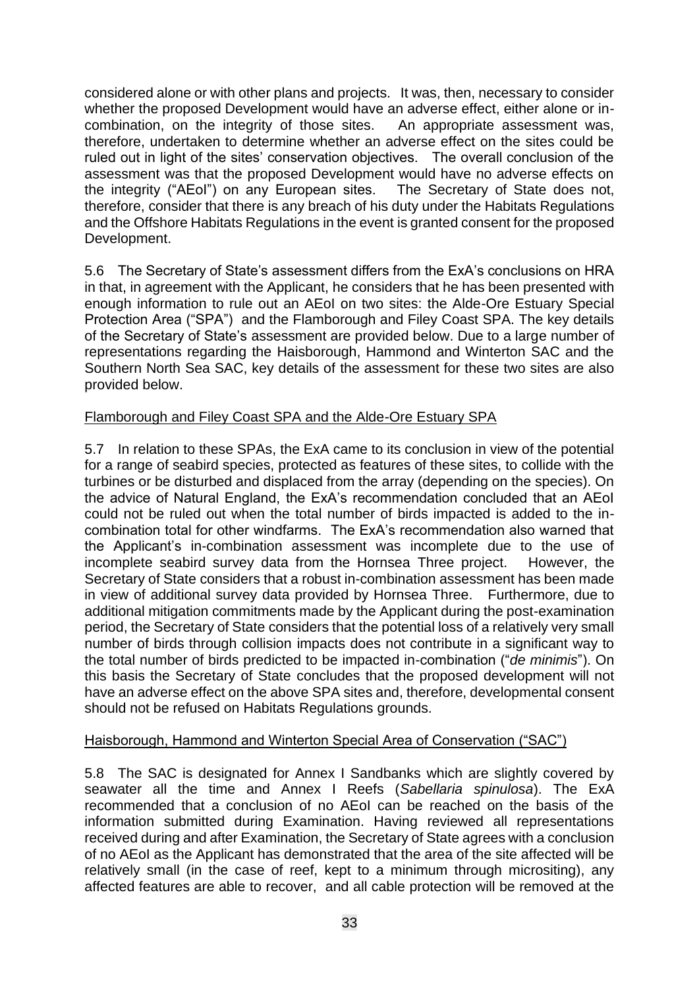considered alone or with other plans and projects. It was, then, necessary to consider whether the proposed Development would have an adverse effect, either alone or incombination, on the integrity of those sites. An appropriate assessment was, therefore, undertaken to determine whether an adverse effect on the sites could be ruled out in light of the sites' conservation objectives. The overall conclusion of the assessment was that the proposed Development would have no adverse effects on the integrity ("AEoI") on any European sites. The Secretary of State does not, therefore, consider that there is any breach of his duty under the Habitats Regulations and the Offshore Habitats Regulations in the event is granted consent for the proposed Development.

5.6 The Secretary of State's assessment differs from the ExA's conclusions on HRA in that, in agreement with the Applicant, he considers that he has been presented with enough information to rule out an AEoI on two sites: the Alde-Ore Estuary Special Protection Area ("SPA") and the Flamborough and Filey Coast SPA. The key details of the Secretary of State's assessment are provided below. Due to a large number of representations regarding the Haisborough, Hammond and Winterton SAC and the Southern North Sea SAC, key details of the assessment for these two sites are also provided below.

## Flamborough and Filey Coast SPA and the Alde-Ore Estuary SPA

5.7 In relation to these SPAs, the ExA came to its conclusion in view of the potential for a range of seabird species, protected as features of these sites, to collide with the turbines or be disturbed and displaced from the array (depending on the species). On the advice of Natural England, the ExA's recommendation concluded that an AEoI could not be ruled out when the total number of birds impacted is added to the incombination total for other windfarms. The ExA's recommendation also warned that the Applicant's in-combination assessment was incomplete due to the use of incomplete seabird survey data from the Hornsea Three project. However, the Secretary of State considers that a robust in-combination assessment has been made in view of additional survey data provided by Hornsea Three. Furthermore, due to additional mitigation commitments made by the Applicant during the post-examination period, the Secretary of State considers that the potential loss of a relatively very small number of birds through collision impacts does not contribute in a significant way to the total number of birds predicted to be impacted in-combination ("*de minimis*"). On this basis the Secretary of State concludes that the proposed development will not have an adverse effect on the above SPA sites and, therefore, developmental consent should not be refused on Habitats Regulations grounds.

#### Haisborough, Hammond and Winterton Special Area of Conservation ("SAC")

5.8 The SAC is designated for Annex I Sandbanks which are slightly covered by seawater all the time and Annex I Reefs (*Sabellaria spinulosa*). The ExA recommended that a conclusion of no AEoI can be reached on the basis of the information submitted during Examination. Having reviewed all representations received during and after Examination, the Secretary of State agrees with a conclusion of no AEoI as the Applicant has demonstrated that the area of the site affected will be relatively small (in the case of reef, kept to a minimum through micrositing), any affected features are able to recover, and all cable protection will be removed at the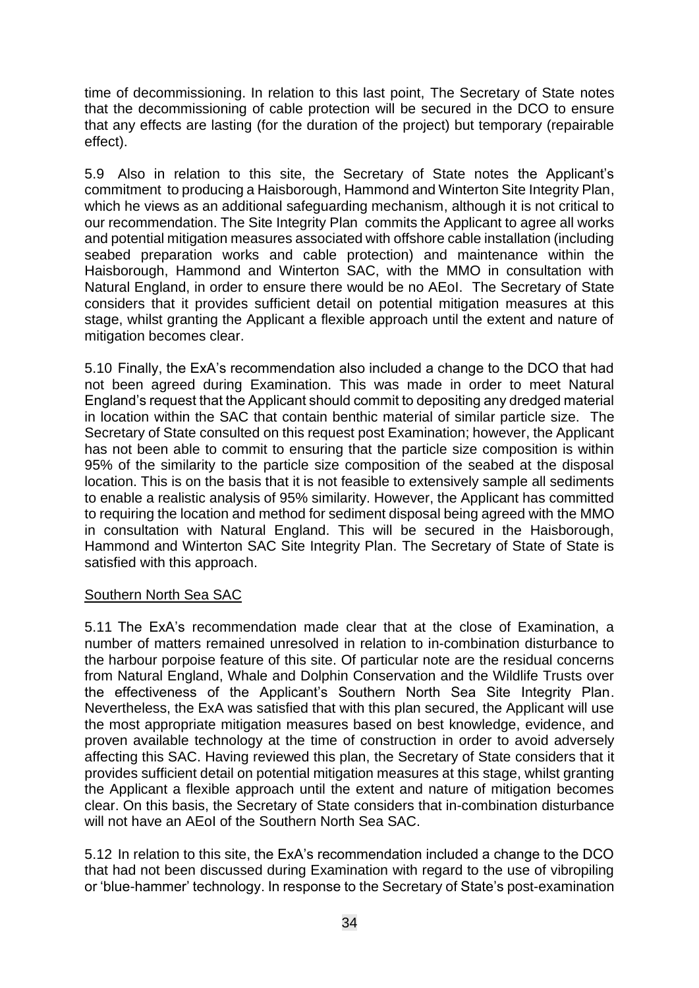time of decommissioning. In relation to this last point, The Secretary of State notes that the decommissioning of cable protection will be secured in the DCO to ensure that any effects are lasting (for the duration of the project) but temporary (repairable effect).

5.9 Also in relation to this site, the Secretary of State notes the Applicant's commitment to producing a Haisborough, Hammond and Winterton Site Integrity Plan, which he views as an additional safeguarding mechanism, although it is not critical to our recommendation. The Site Integrity Plan commits the Applicant to agree all works and potential mitigation measures associated with offshore cable installation (including seabed preparation works and cable protection) and maintenance within the Haisborough, Hammond and Winterton SAC, with the MMO in consultation with Natural England, in order to ensure there would be no AEoI. The Secretary of State considers that it provides sufficient detail on potential mitigation measures at this stage, whilst granting the Applicant a flexible approach until the extent and nature of mitigation becomes clear.

5.10 Finally, the ExA's recommendation also included a change to the DCO that had not been agreed during Examination. This was made in order to meet Natural England's request that the Applicant should commit to depositing any dredged material in location within the SAC that contain benthic material of similar particle size. The Secretary of State consulted on this request post Examination; however, the Applicant has not been able to commit to ensuring that the particle size composition is within 95% of the similarity to the particle size composition of the seabed at the disposal location. This is on the basis that it is not feasible to extensively sample all sediments to enable a realistic analysis of 95% similarity. However, the Applicant has committed to requiring the location and method for sediment disposal being agreed with the MMO in consultation with Natural England. This will be secured in the Haisborough, Hammond and Winterton SAC Site Integrity Plan. The Secretary of State of State is satisfied with this approach.

#### Southern North Sea SAC

5.11 The ExA's recommendation made clear that at the close of Examination, a number of matters remained unresolved in relation to in-combination disturbance to the harbour porpoise feature of this site. Of particular note are the residual concerns from Natural England, Whale and Dolphin Conservation and the Wildlife Trusts over the effectiveness of the Applicant's Southern North Sea Site Integrity Plan. Nevertheless, the ExA was satisfied that with this plan secured, the Applicant will use the most appropriate mitigation measures based on best knowledge, evidence, and proven available technology at the time of construction in order to avoid adversely affecting this SAC. Having reviewed this plan, the Secretary of State considers that it provides sufficient detail on potential mitigation measures at this stage, whilst granting the Applicant a flexible approach until the extent and nature of mitigation becomes clear. On this basis, the Secretary of State considers that in-combination disturbance will not have an AEoI of the Southern North Sea SAC.

5.12 In relation to this site, the ExA's recommendation included a change to the DCO that had not been discussed during Examination with regard to the use of vibropiling or 'blue-hammer' technology. In response to the Secretary of State's post-examination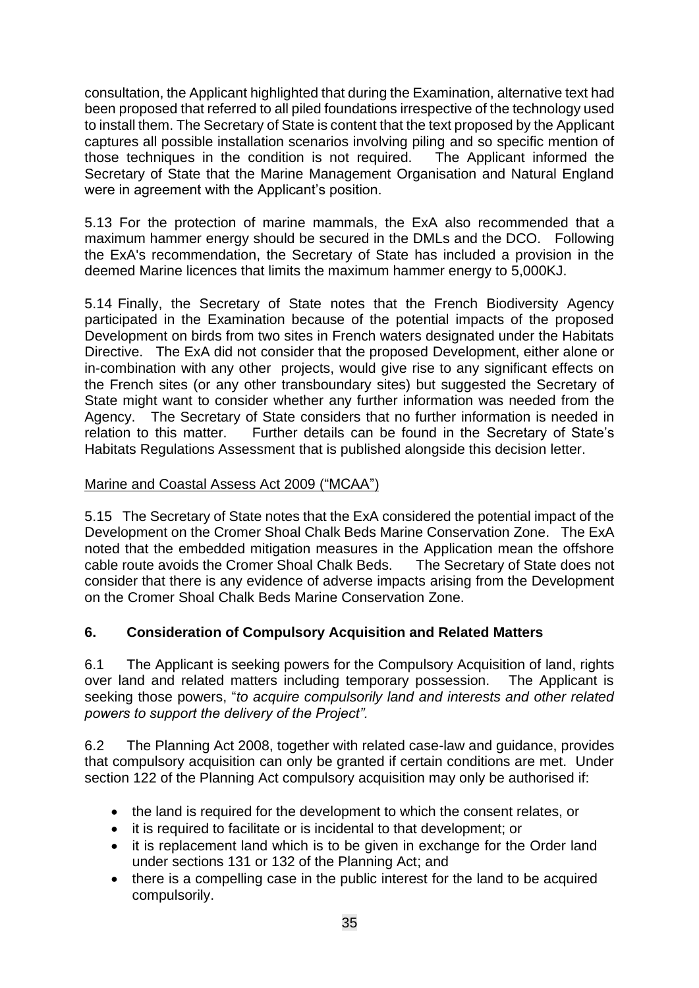consultation, the Applicant highlighted that during the Examination, alternative text had been proposed that referred to all piled foundations irrespective of the technology used to install them. The Secretary of State is content that the text proposed by the Applicant captures all possible installation scenarios involving piling and so specific mention of those techniques in the condition is not required. The Applicant informed the Secretary of State that the Marine Management Organisation and Natural England were in agreement with the Applicant's position.

5.13 For the protection of marine mammals, the ExA also recommended that a maximum hammer energy should be secured in the DMLs and the DCO. Following the ExA's recommendation, the Secretary of State has included a provision in the deemed Marine licences that limits the maximum hammer energy to 5,000KJ.

5.14 Finally, the Secretary of State notes that the French Biodiversity Agency participated in the Examination because of the potential impacts of the proposed Development on birds from two sites in French waters designated under the Habitats Directive. The ExA did not consider that the proposed Development, either alone or in-combination with any other projects, would give rise to any significant effects on the French sites (or any other transboundary sites) but suggested the Secretary of State might want to consider whether any further information was needed from the Agency. The Secretary of State considers that no further information is needed in relation to this matter. Further details can be found in the Secretary of State's Habitats Regulations Assessment that is published alongside this decision letter.

## Marine and Coastal Assess Act 2009 ("MCAA")

5.15 The Secretary of State notes that the ExA considered the potential impact of the Development on the Cromer Shoal Chalk Beds Marine Conservation Zone. The ExA noted that the embedded mitigation measures in the Application mean the offshore cable route avoids the Cromer Shoal Chalk Beds. The Secretary of State does not consider that there is any evidence of adverse impacts arising from the Development on the Cromer Shoal Chalk Beds Marine Conservation Zone.

# **6. Consideration of Compulsory Acquisition and Related Matters**

6.1 The Applicant is seeking powers for the Compulsory Acquisition of land, rights over land and related matters including temporary possession. The Applicant is seeking those powers, "*to acquire compulsorily land and interests and other related powers to support the delivery of the Project".*

6.2 The Planning Act 2008, together with related case-law and guidance, provides that compulsory acquisition can only be granted if certain conditions are met. Under section 122 of the Planning Act compulsory acquisition may only be authorised if:

- the land is required for the development to which the consent relates, or
- it is required to facilitate or is incidental to that development; or
- it is replacement land which is to be given in exchange for the Order land under sections 131 or 132 of the Planning Act; and
- there is a compelling case in the public interest for the land to be acquired compulsorily.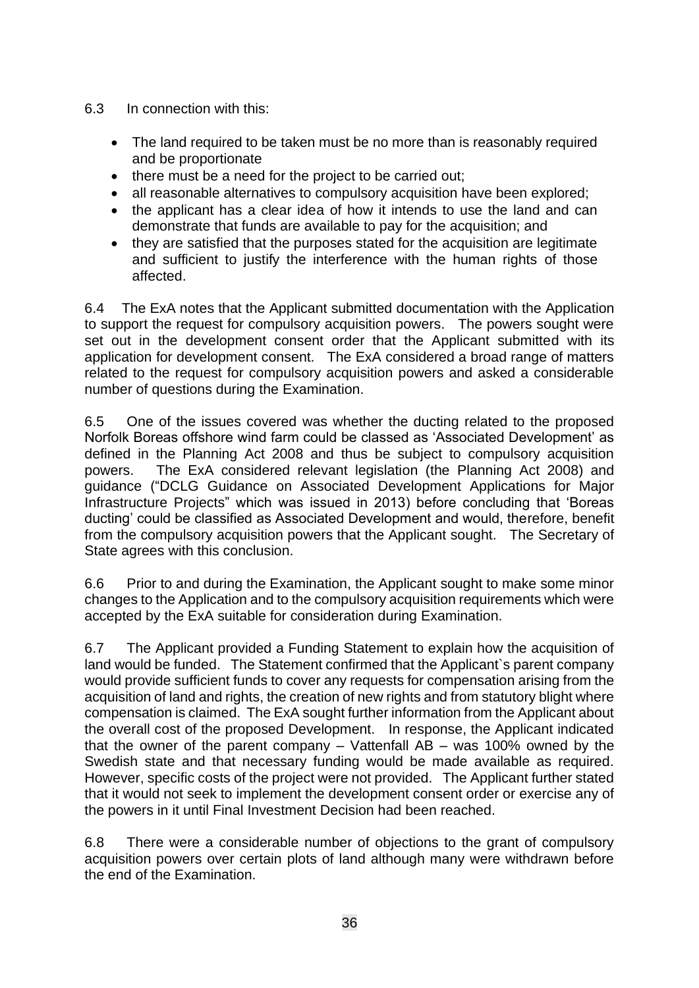- 6.3 In connection with this:
	- The land required to be taken must be no more than is reasonably required and be proportionate
	- there must be a need for the project to be carried out;
	- all reasonable alternatives to compulsory acquisition have been explored;
	- the applicant has a clear idea of how it intends to use the land and can demonstrate that funds are available to pay for the acquisition; and
	- they are satisfied that the purposes stated for the acquisition are legitimate and sufficient to justify the interference with the human rights of those affected.

6.4 The ExA notes that the Applicant submitted documentation with the Application to support the request for compulsory acquisition powers. The powers sought were set out in the development consent order that the Applicant submitted with its application for development consent. The ExA considered a broad range of matters related to the request for compulsory acquisition powers and asked a considerable number of questions during the Examination.

6.5 One of the issues covered was whether the ducting related to the proposed Norfolk Boreas offshore wind farm could be classed as 'Associated Development' as defined in the Planning Act 2008 and thus be subject to compulsory acquisition powers. The ExA considered relevant legislation (the Planning Act 2008) and guidance ("DCLG Guidance on Associated Development Applications for Major Infrastructure Projects" which was issued in 2013) before concluding that 'Boreas ducting' could be classified as Associated Development and would, therefore, benefit from the compulsory acquisition powers that the Applicant sought. The Secretary of State agrees with this conclusion.

6.6 Prior to and during the Examination, the Applicant sought to make some minor changes to the Application and to the compulsory acquisition requirements which were accepted by the ExA suitable for consideration during Examination.

6.7 The Applicant provided a Funding Statement to explain how the acquisition of land would be funded. The Statement confirmed that the Applicant`s parent company would provide sufficient funds to cover any requests for compensation arising from the acquisition of land and rights, the creation of new rights and from statutory blight where compensation is claimed. The ExA sought further information from the Applicant about the overall cost of the proposed Development. In response, the Applicant indicated that the owner of the parent company – Vattenfall AB – was 100% owned by the Swedish state and that necessary funding would be made available as required. However, specific costs of the project were not provided. The Applicant further stated that it would not seek to implement the development consent order or exercise any of the powers in it until Final Investment Decision had been reached.

6.8 There were a considerable number of objections to the grant of compulsory acquisition powers over certain plots of land although many were withdrawn before the end of the Examination.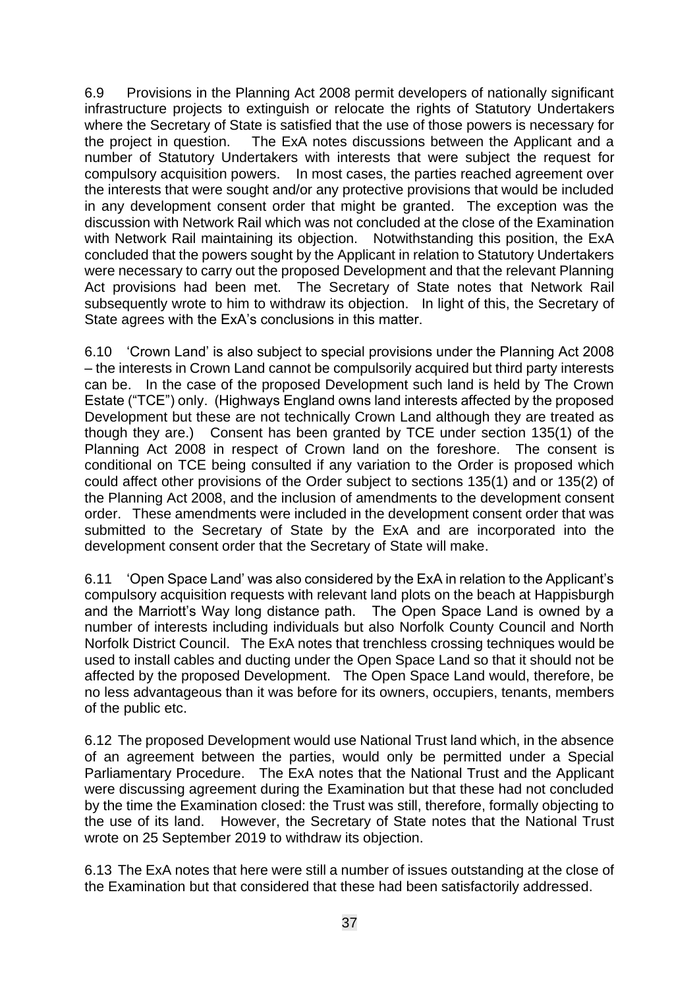6.9 Provisions in the Planning Act 2008 permit developers of nationally significant infrastructure projects to extinguish or relocate the rights of Statutory Undertakers where the Secretary of State is satisfied that the use of those powers is necessary for the project in question. The ExA notes discussions between the Applicant and a number of Statutory Undertakers with interests that were subject the request for compulsory acquisition powers. In most cases, the parties reached agreement over the interests that were sought and/or any protective provisions that would be included in any development consent order that might be granted. The exception was the discussion with Network Rail which was not concluded at the close of the Examination with Network Rail maintaining its objection. Notwithstanding this position, the ExA concluded that the powers sought by the Applicant in relation to Statutory Undertakers were necessary to carry out the proposed Development and that the relevant Planning Act provisions had been met. The Secretary of State notes that Network Rail subsequently wrote to him to withdraw its objection. In light of this, the Secretary of State agrees with the ExA's conclusions in this matter.

6.10 'Crown Land' is also subject to special provisions under the Planning Act 2008 – the interests in Crown Land cannot be compulsorily acquired but third party interests can be. In the case of the proposed Development such land is held by The Crown Estate ("TCE") only. (Highways England owns land interests affected by the proposed Development but these are not technically Crown Land although they are treated as though they are.) Consent has been granted by TCE under section 135(1) of the Planning Act 2008 in respect of Crown land on the foreshore. The consent is conditional on TCE being consulted if any variation to the Order is proposed which could affect other provisions of the Order subject to sections 135(1) and or 135(2) of the Planning Act 2008, and the inclusion of amendments to the development consent order. These amendments were included in the development consent order that was submitted to the Secretary of State by the ExA and are incorporated into the development consent order that the Secretary of State will make.

6.11 'Open Space Land' was also considered by the ExA in relation to the Applicant's compulsory acquisition requests with relevant land plots on the beach at Happisburgh and the Marriott's Way long distance path. The Open Space Land is owned by a number of interests including individuals but also Norfolk County Council and North Norfolk District Council. The ExA notes that trenchless crossing techniques would be used to install cables and ducting under the Open Space Land so that it should not be affected by the proposed Development. The Open Space Land would, therefore, be no less advantageous than it was before for its owners, occupiers, tenants, members of the public etc.

6.12 The proposed Development would use National Trust land which, in the absence of an agreement between the parties, would only be permitted under a Special Parliamentary Procedure. The ExA notes that the National Trust and the Applicant were discussing agreement during the Examination but that these had not concluded by the time the Examination closed: the Trust was still, therefore, formally objecting to the use of its land. However, the Secretary of State notes that the National Trust wrote on 25 September 2019 to withdraw its objection.

6.13 The ExA notes that here were still a number of issues outstanding at the close of the Examination but that considered that these had been satisfactorily addressed.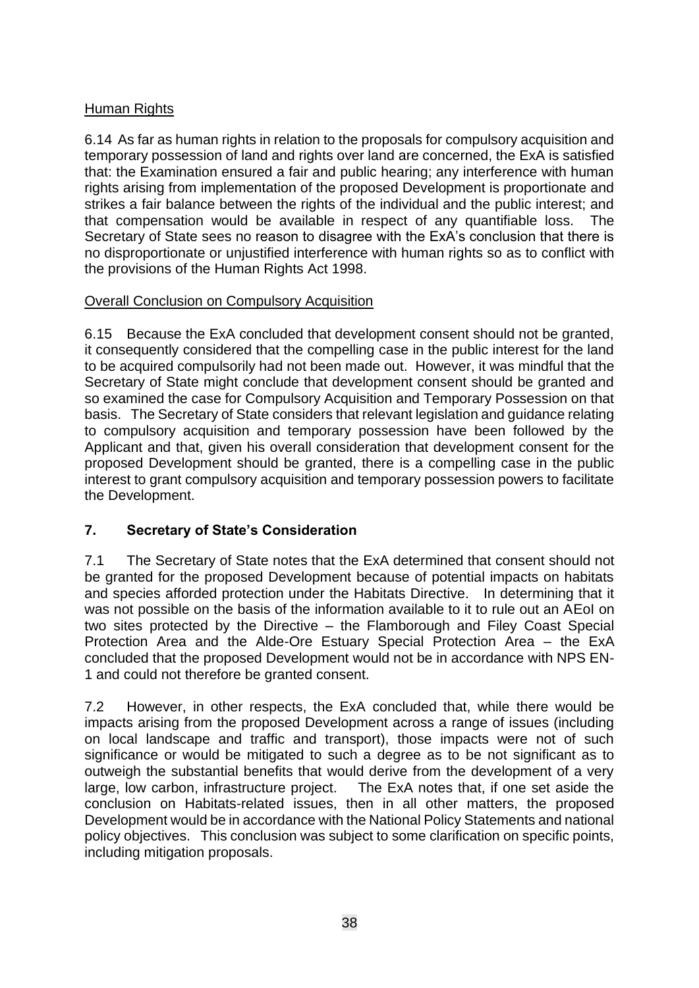## Human Rights

6.14 As far as human rights in relation to the proposals for compulsory acquisition and temporary possession of land and rights over land are concerned, the ExA is satisfied that: the Examination ensured a fair and public hearing; any interference with human rights arising from implementation of the proposed Development is proportionate and strikes a fair balance between the rights of the individual and the public interest; and that compensation would be available in respect of any quantifiable loss. The Secretary of State sees no reason to disagree with the ExA's conclusion that there is no disproportionate or unjustified interference with human rights so as to conflict with the provisions of the Human Rights Act 1998.

## Overall Conclusion on Compulsory Acquisition

6.15 Because the ExA concluded that development consent should not be granted, it consequently considered that the compelling case in the public interest for the land to be acquired compulsorily had not been made out. However, it was mindful that the Secretary of State might conclude that development consent should be granted and so examined the case for Compulsory Acquisition and Temporary Possession on that basis. The Secretary of State considers that relevant legislation and guidance relating to compulsory acquisition and temporary possession have been followed by the Applicant and that, given his overall consideration that development consent for the proposed Development should be granted, there is a compelling case in the public interest to grant compulsory acquisition and temporary possession powers to facilitate the Development.

# **7. Secretary of State's Consideration**

7.1 The Secretary of State notes that the ExA determined that consent should not be granted for the proposed Development because of potential impacts on habitats and species afforded protection under the Habitats Directive. In determining that it was not possible on the basis of the information available to it to rule out an AEoI on two sites protected by the Directive – the Flamborough and Filey Coast Special Protection Area and the Alde-Ore Estuary Special Protection Area – the ExA concluded that the proposed Development would not be in accordance with NPS EN-1 and could not therefore be granted consent.

7.2 However, in other respects, the ExA concluded that, while there would be impacts arising from the proposed Development across a range of issues (including on local landscape and traffic and transport), those impacts were not of such significance or would be mitigated to such a degree as to be not significant as to outweigh the substantial benefits that would derive from the development of a very large, low carbon, infrastructure project. The ExA notes that, if one set aside the conclusion on Habitats-related issues, then in all other matters, the proposed Development would be in accordance with the National Policy Statements and national policy objectives. This conclusion was subject to some clarification on specific points, including mitigation proposals.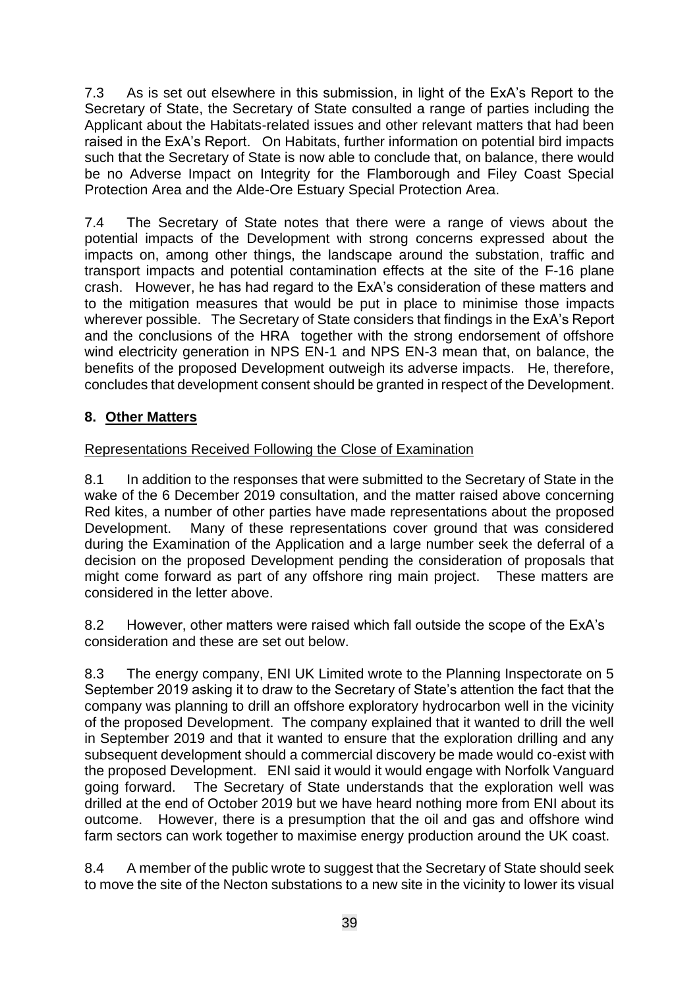7.3 As is set out elsewhere in this submission, in light of the ExA's Report to the Secretary of State, the Secretary of State consulted a range of parties including the Applicant about the Habitats-related issues and other relevant matters that had been raised in the ExA's Report. On Habitats, further information on potential bird impacts such that the Secretary of State is now able to conclude that, on balance, there would be no Adverse Impact on Integrity for the Flamborough and Filey Coast Special Protection Area and the Alde-Ore Estuary Special Protection Area.

7.4 The Secretary of State notes that there were a range of views about the potential impacts of the Development with strong concerns expressed about the impacts on, among other things, the landscape around the substation, traffic and transport impacts and potential contamination effects at the site of the F-16 plane crash. However, he has had regard to the ExA's consideration of these matters and to the mitigation measures that would be put in place to minimise those impacts wherever possible. The Secretary of State considers that findings in the ExA's Report and the conclusions of the HRA together with the strong endorsement of offshore wind electricity generation in NPS EN-1 and NPS EN-3 mean that, on balance, the benefits of the proposed Development outweigh its adverse impacts. He, therefore, concludes that development consent should be granted in respect of the Development.

# **8. Other Matters**

## Representations Received Following the Close of Examination

8.1 In addition to the responses that were submitted to the Secretary of State in the wake of the 6 December 2019 consultation, and the matter raised above concerning Red kites, a number of other parties have made representations about the proposed Development. Many of these representations cover ground that was considered during the Examination of the Application and a large number seek the deferral of a decision on the proposed Development pending the consideration of proposals that might come forward as part of any offshore ring main project. These matters are considered in the letter above.

8.2 However, other matters were raised which fall outside the scope of the ExA's consideration and these are set out below.

8.3 The energy company, ENI UK Limited wrote to the Planning Inspectorate on 5 September 2019 asking it to draw to the Secretary of State's attention the fact that the company was planning to drill an offshore exploratory hydrocarbon well in the vicinity of the proposed Development. The company explained that it wanted to drill the well in September 2019 and that it wanted to ensure that the exploration drilling and any subsequent development should a commercial discovery be made would co-exist with the proposed Development. ENI said it would it would engage with Norfolk Vanguard going forward. The Secretary of State understands that the exploration well was drilled at the end of October 2019 but we have heard nothing more from ENI about its outcome. However, there is a presumption that the oil and gas and offshore wind farm sectors can work together to maximise energy production around the UK coast.

8.4 A member of the public wrote to suggest that the Secretary of State should seek to move the site of the Necton substations to a new site in the vicinity to lower its visual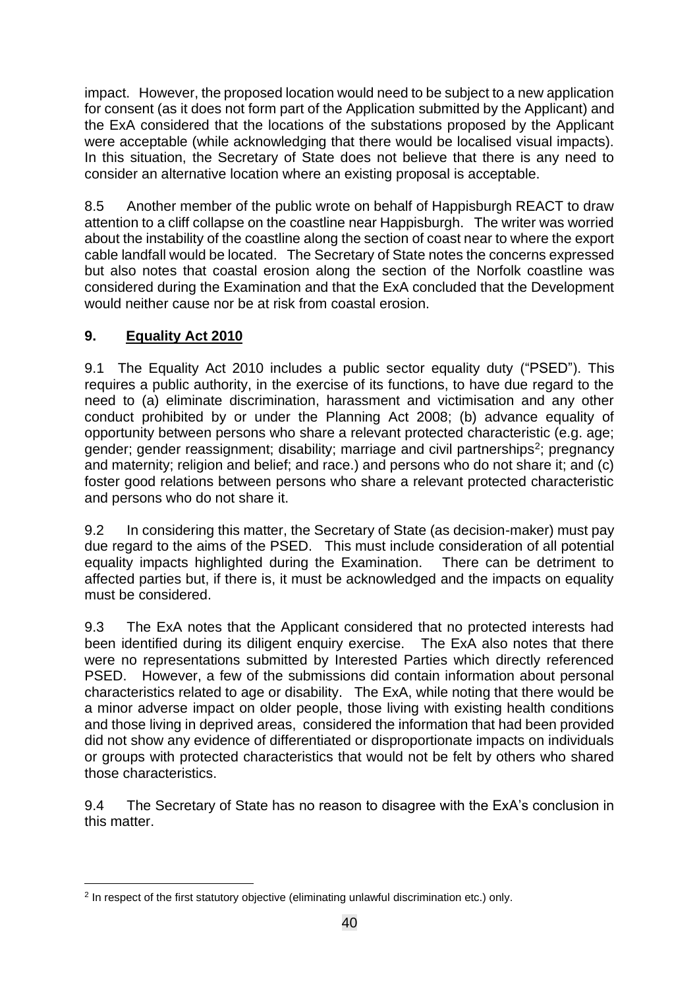impact. However, the proposed location would need to be subject to a new application for consent (as it does not form part of the Application submitted by the Applicant) and the ExA considered that the locations of the substations proposed by the Applicant were acceptable (while acknowledging that there would be localised visual impacts). In this situation, the Secretary of State does not believe that there is any need to consider an alternative location where an existing proposal is acceptable.

8.5 Another member of the public wrote on behalf of Happisburgh REACT to draw attention to a cliff collapse on the coastline near Happisburgh. The writer was worried about the instability of the coastline along the section of coast near to where the export cable landfall would be located. The Secretary of State notes the concerns expressed but also notes that coastal erosion along the section of the Norfolk coastline was considered during the Examination and that the ExA concluded that the Development would neither cause nor be at risk from coastal erosion.

# **9. Equality Act 2010**

9.1 The Equality Act 2010 includes a public sector equality duty ("PSED"). This requires a public authority, in the exercise of its functions, to have due regard to the need to (a) eliminate discrimination, harassment and victimisation and any other conduct prohibited by or under the Planning Act 2008; (b) advance equality of opportunity between persons who share a relevant protected characteristic (e.g. age; gender; gender reassignment; disability; marriage and civil partnerships<sup>2</sup>; pregnancy and maternity; religion and belief; and race.) and persons who do not share it; and (c) foster good relations between persons who share a relevant protected characteristic and persons who do not share it.

9.2 In considering this matter, the Secretary of State (as decision-maker) must pay due regard to the aims of the PSED. This must include consideration of all potential equality impacts highlighted during the Examination. There can be detriment to affected parties but, if there is, it must be acknowledged and the impacts on equality must be considered.

9.3 The ExA notes that the Applicant considered that no protected interests had been identified during its diligent enquiry exercise. The ExA also notes that there were no representations submitted by Interested Parties which directly referenced PSED. However, a few of the submissions did contain information about personal characteristics related to age or disability. The ExA, while noting that there would be a minor adverse impact on older people, those living with existing health conditions and those living in deprived areas, considered the information that had been provided did not show any evidence of differentiated or disproportionate impacts on individuals or groups with protected characteristics that would not be felt by others who shared those characteristics.

9.4 The Secretary of State has no reason to disagree with the ExA's conclusion in this matter.

<sup>2</sup> In respect of the first statutory objective (eliminating unlawful discrimination etc.) only.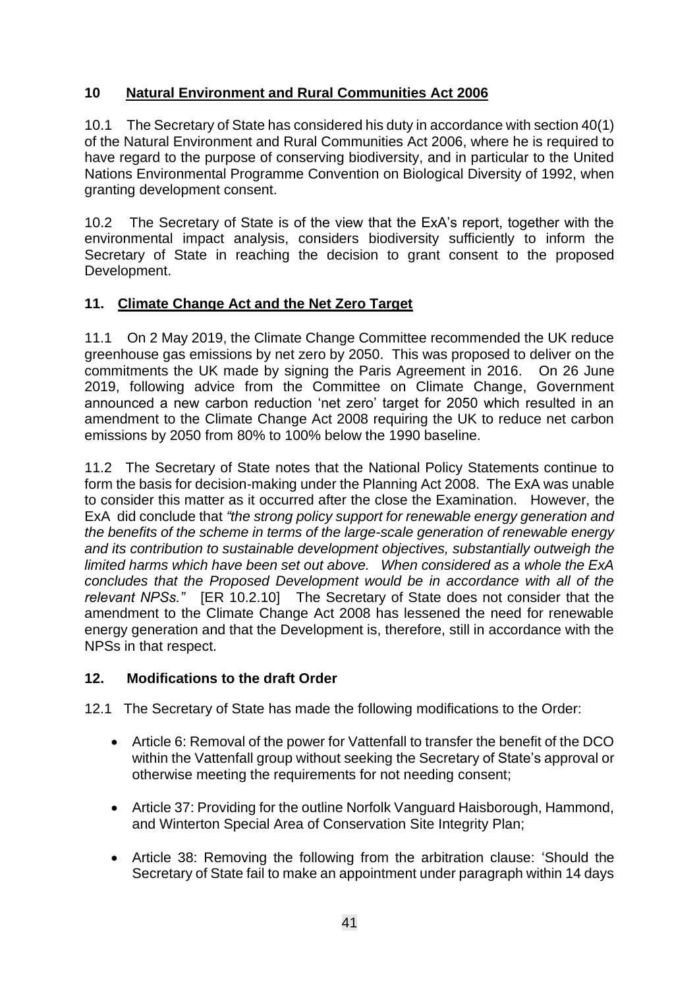## **10 Natural Environment and Rural Communities Act 2006**

10.1 The Secretary of State has considered his duty in accordance with section 40(1) of the Natural Environment and Rural Communities Act 2006, where he is required to have regard to the purpose of conserving biodiversity, and in particular to the United Nations Environmental Programme Convention on Biological Diversity of 1992, when granting development consent.

10.2 The Secretary of State is of the view that the ExA's report, together with the environmental impact analysis, considers biodiversity sufficiently to inform the Secretary of State in reaching the decision to grant consent to the proposed Development.

## **11. Climate Change Act and the Net Zero Target**

11.1 On 2 May 2019, the Climate Change Committee recommended the UK reduce greenhouse gas emissions by net zero by 2050. This was proposed to deliver on the commitments the UK made by signing the Paris Agreement in 2016. On 26 June 2019, following advice from the Committee on Climate Change, Government announced a new carbon reduction 'net zero' target for 2050 which resulted in an amendment to the Climate Change Act 2008 requiring the UK to reduce net carbon emissions by 2050 from 80% to 100% below the 1990 baseline.

11.2 The Secretary of State notes that the National Policy Statements continue to form the basis for decision-making under the Planning Act 2008. The ExA was unable to consider this matter as it occurred after the close the Examination. However, the ExA did conclude that *"the strong policy support for renewable energy generation and the benefits of the scheme in terms of the large-scale generation of renewable energy and its contribution to sustainable development objectives, substantially outweigh the limited harms which have been set out above. When considered as a whole the ExA concludes that the Proposed Development would be in accordance with all of the relevant NPSs."* [ER 10.2.10] The Secretary of State does not consider that the amendment to the Climate Change Act 2008 has lessened the need for renewable energy generation and that the Development is, therefore, still in accordance with the NPSs in that respect.

## **12. Modifications to the draft Order**

12.1 The Secretary of State has made the following modifications to the Order:

- Article 6: Removal of the power for Vattenfall to transfer the benefit of the DCO within the Vattenfall group without seeking the Secretary of State's approval or otherwise meeting the requirements for not needing consent;
- Article 37: Providing for the outline Norfolk Vanguard Haisborough, Hammond, and Winterton Special Area of Conservation Site Integrity Plan;
- Article 38: Removing the following from the arbitration clause: 'Should the Secretary of State fail to make an appointment under paragraph within 14 days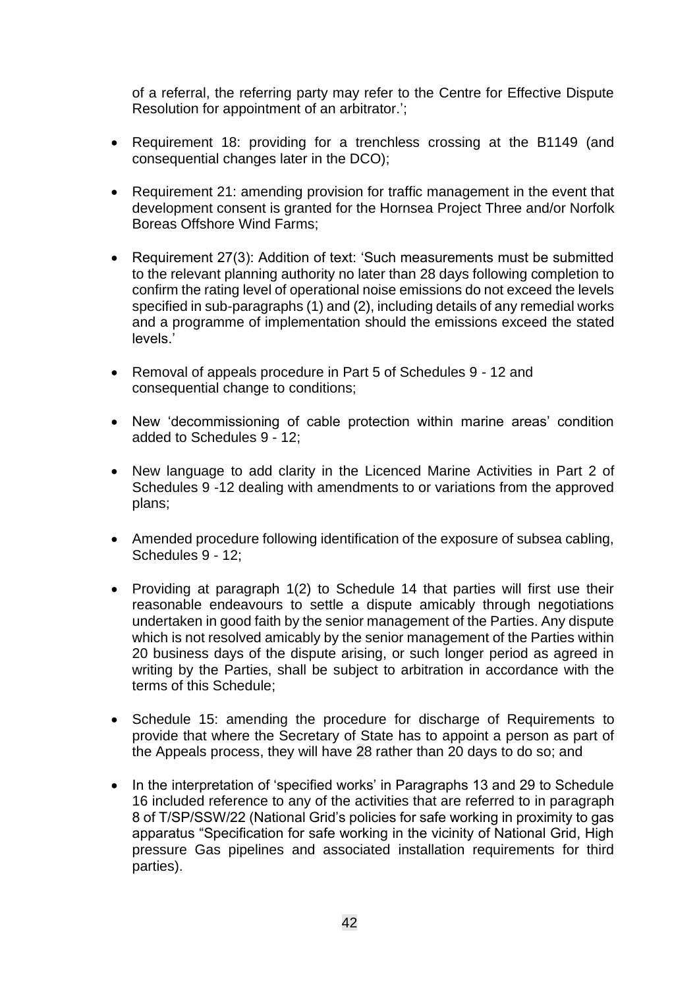of a referral, the referring party may refer to the Centre for Effective Dispute Resolution for appointment of an arbitrator.';

- Requirement 18: providing for a trenchless crossing at the B1149 (and consequential changes later in the DCO);
- Requirement 21: amending provision for traffic management in the event that development consent is granted for the Hornsea Project Three and/or Norfolk Boreas Offshore Wind Farms;
- Requirement 27(3): Addition of text: 'Such measurements must be submitted to the relevant planning authority no later than 28 days following completion to confirm the rating level of operational noise emissions do not exceed the levels specified in sub-paragraphs (1) and (2), including details of any remedial works and a programme of implementation should the emissions exceed the stated levels.'
- Removal of appeals procedure in Part 5 of Schedules 9 12 and consequential change to conditions;
- New 'decommissioning of cable protection within marine areas' condition added to Schedules 9 - 12;
- New language to add clarity in the Licenced Marine Activities in Part 2 of Schedules 9 -12 dealing with amendments to or variations from the approved plans;
- Amended procedure following identification of the exposure of subsea cabling, Schedules 9 - 12;
- Providing at paragraph 1(2) to Schedule 14 that parties will first use their reasonable endeavours to settle a dispute amicably through negotiations undertaken in good faith by the senior management of the Parties. Any dispute which is not resolved amicably by the senior management of the Parties within 20 business days of the dispute arising, or such longer period as agreed in writing by the Parties, shall be subject to arbitration in accordance with the terms of this Schedule;
- Schedule 15: amending the procedure for discharge of Requirements to provide that where the Secretary of State has to appoint a person as part of the Appeals process, they will have 28 rather than 20 days to do so; and
- In the interpretation of 'specified works' in Paragraphs 13 and 29 to Schedule 16 included reference to any of the activities that are referred to in paragraph 8 of T/SP/SSW/22 (National Grid's policies for safe working in proximity to gas apparatus "Specification for safe working in the vicinity of National Grid, High pressure Gas pipelines and associated installation requirements for third parties).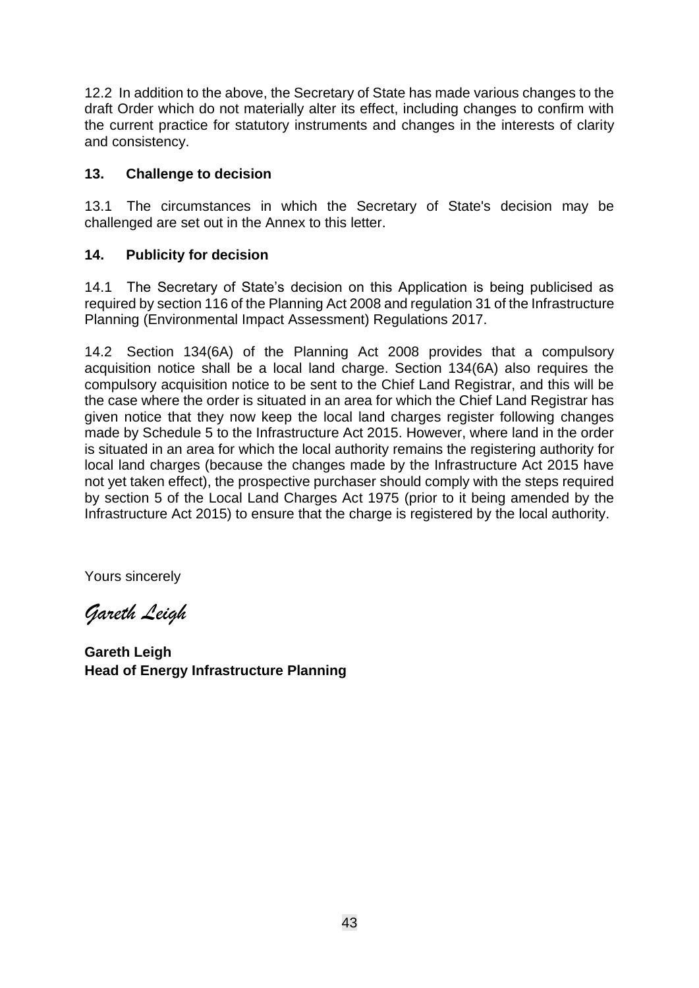12.2 In addition to the above, the Secretary of State has made various changes to the draft Order which do not materially alter its effect, including changes to confirm with the current practice for statutory instruments and changes in the interests of clarity and consistency.

## **13. Challenge to decision**

13.1 The circumstances in which the Secretary of State's decision may be challenged are set out in the Annex to this letter.

## **14. Publicity for decision**

14.1 The Secretary of State's decision on this Application is being publicised as required by section 116 of the Planning Act 2008 and regulation 31 of the Infrastructure Planning (Environmental Impact Assessment) Regulations 2017.

14.2 Section 134(6A) of the Planning Act 2008 provides that a compulsory acquisition notice shall be a local land charge. Section 134(6A) also requires the compulsory acquisition notice to be sent to the Chief Land Registrar, and this will be the case where the order is situated in an area for which the Chief Land Registrar has given notice that they now keep the local land charges register following changes made by Schedule 5 to the Infrastructure Act 2015. However, where land in the order is situated in an area for which the local authority remains the registering authority for local land charges (because the changes made by the Infrastructure Act 2015 have not yet taken effect), the prospective purchaser should comply with the steps required by section 5 of the Local Land Charges Act 1975 (prior to it being amended by the Infrastructure Act 2015) to ensure that the charge is registered by the local authority.

Yours sincerely

*Gareth Leigh*

**Gareth Leigh Head of Energy Infrastructure Planning**